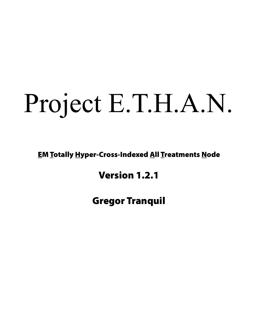# Project E.T.H.A.N.

**EM Totally Hyper-Cross-Indexed All Treatments Node** 

# Version 1.2.1

Gregor Tranquil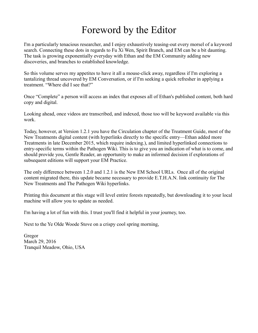# Foreword by the Editor

I'm a particularly tenacious researcher, and I enjoy exhaustively teasing-out every morsel of a keyword search. Connecting these dots in regards to Fu Xi Wen, Spirit Branch, and EM can be a bit daunting. The task is growing exponentially everyday with Ethan and the EM Community adding new discoveries, and branches to established knowledge.

So this volume serves my appetites to have it all a mouse-click away, regardless if I'm exploring a tantalizing thread uncovered by EM Conversation, or if I'm seeking a quick refresher in applying a treatment. "Where did I see that?"

Once "Complete" a person will access an index that exposes all of Ethan's published content, both hard copy and digital.

Looking ahead, once videos are transcribed, and indexed, those too will be keyword available via this work.

Today, however, at Version 1.2.1 you have the Circulation chapter of the Treatment Guide, most of the New Treatments digital content (with hyperlinks directly to the specific entry—Ethan added more Treatments in late December 2015, which require indexing.), and limited hyperlinked connections to entry-specific terms within the Pathogen Wiki. This is to give you an indication of what is to come, and should provide you, Gentle Reader, an opportunity to make an informed decision if explorations of subsequent editions will support your EM Practice.

The only difference between 1.2.0 and 1.2.1 is the New EM School URLs. Once all of the original content migrated there, this update became necessary to provide E.T.H.A.N. link continuity for The New Treatments and The Pathogen Wiki hyperlinks.

Printing this document at this stage will level entire forests repeatedly, but downloading it to your local machine will allow you to update as needed.

I'm having a lot of fun with this. I trust you'll find it helpful in your journey, too.

Next to the Ye Olde Woode Stove on a crispy cool spring morning,

Gregor March 29, 2016 Tranquil Meadow, Ohio, USA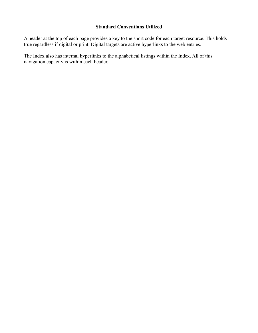# **Standard Conventions Utilized**

A header at the top of each page provides a key to the short code for each target resource. This holds true regardless if digital or print. Digital targets are active hyperlinks to the web entries.

The Index also has internal hyperlinks to the alphabetical listings within the Index. All of this navigation capacity is within each header.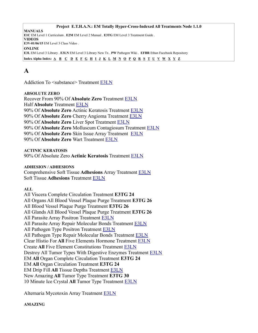# <span id="page-3-0"></span>**A**

Addiction To <substance> Treatment [E3LN](https://energymedicine.online/em3-new-em-level-3-treatments/#ats)

#### **ABSOLUTE ZERO**

Recover From 90% Of **Absolute Zero** Treatment [E3LN](https://energymedicine.online/em3-new-em-level-3-treatments/#r90az) Half **Absolute** Treatment [E3LN](https://energymedicine.online/em3-new-em-level-3-treatments/#haz) 90% Of **Absolute Zero** Actinic Keratosis Treatment [E3LN](https://energymedicine.online/em3-new-em-level-3-treatments/#90azak) 90% Of **Absolute Zero** Cherry Angioma Treatment [E3LN](https://energymedicine.online/em3-new-em-level-3-treatments/#90azca) 90% Of **Absolute Zero** Liver Spot Treatment [E3LN](https://energymedicine.online/em3-new-em-level-3-treatments/#90azls) 90% Of **Absolute Zero** Molluscum Contagiosum Treatment [E3LN](https://energymedicine.online/em3-new-em-level-3-treatments/#90azmc) 90% Of **Absolute Zero** Skin Issue Array Treatment [E3LN](https://energymedicine.online/em3-new-em-level-3-treatments/#90azsia) 90% Of **Absolute Zero** Wart Treatment [E3LN](https://energymedicine.online/em3-new-em-level-3-treatments/#90azw)

**ACTINIC KERATOSIS**

90% Of Absolute Zero **Actinic Keratosis** Treatment [E3LN](https://energymedicine.online/em3-new-em-level-3-treatments/#90azak)

#### **ADHESION / ADHESIONS**

Comprehensive Soft Tissue **Adhesions** Array Treatment [E3LN](https://energymedicine.online/em3-new-em-level-3-treatments/#cstaa) Soft Tissue **Adhesions** Treatment [E3LN](https://energymedicine.online/em3-new-em-level-3-treatments/#stad)

#### **ALL**

All Viscera Complete Circulation Treatment **E3TG 24** All Organs All Blood Vessel Plaque Purge Treatment **E3TG 26** All Blood Vessel Plaque Purge Treatment **E3TG 26** All Glands All Blood Vessel Plaque Purge Treatment **E3TG 26** All Parasite Array Positron Treatment [E3LN](https://energymedicine.online/em3-new-em-level-3-treatments/#apapt) All Parasite Array Repair Molecular Bonds Treatment [E3LN](https://energymedicine.online/em3-new-em-level-3-treatments/#aparmb) All Pathogen Type Positron Treatment [E3LN](https://energymedicine.online/em3-new-em-level-3-treatments/#aptpt) All Pathogen Type Repair Molecular Bonds Treatment [E3LN](https://energymedicine.online/em3-new-em-level-3-treatments/#aptrmb) Clear Histio For **All** Five Elements Hormone Treatment [E3LN](https://energymedicine.online/em3-new-em-level-3-treatments/#clrhis5) Create **All** Five Element Constitutions Treatment [E3LN](https://energymedicine.online/em3-new-em-level-3-treatments/#cafe) Destroy All Tumor Types With Digestive Enzymes Treatment [E3LN](https://energymedicine.online/em3-new-em-level-3-treatments/#datt) EM **All** Organ Complete Circulation Treatment **E3TG 24** EM **All** Organ Circulation Treatment **E3TG 24** EM Drip Fill **All** Tissue Depths Treatment [E3LN](https://energymedicine.online/em3-new-em-level-3-treatments/#edfat) New Amazing **All** Tumor Type Treatment **E3TG 30** 10 Minute Ice Crystal **All** Tumor Type Treatment [E3LN](https://energymedicine.online/em3-new-em-level-3-treatments/#10mic)

Alternaria Mycotoxin Array Treatment [E3LN](https://energymedicine.online/em3-new-em-level-3-treatments/#amyca)

# **AMAZING**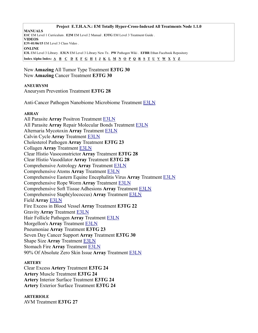#### **Project E.T.H.A.N.: EM Totally Hyper-Cross-Indexed All Treatments Node 1.1.0**

**MANUALS E1C** EM Level 1 Curriculum . **E2M** EM Level 2 Manual . **E3TG** EM Level 3 Treatment Guide . **VIDEOS E3V-01/06/15** EM Level 3 Class Video . **ONLINE E3L** EM Level 3 Library . **E3LN** EM Level 3 Library New Tx . **PW** Pathogen Wiki . **EFBR** Ethan Facebook Repository Index Alpha Index:  $\underline{A}$   $\underline{B}$   $\underline{C}$   $\underline{D}$   $\underline{E}$   $\underline{F}$   $\underline{G}$   $\underline{H}$   $\underline{I}$   $\underline{J}$   $\underline{K}$   $\underline{L}$   $\underline{M}$   $\underline{N}$   $\underline{O}$   $\underline{P}$   $\underline{O}$   $\underline{R}$   $\underline{S}$   $\underline{T}$   $\underline{U}$   $\underline{V}$   $\underline{$ 

New **Amazing** All Tumor Type Treatment **E3TG 30** New **Amazing** Cancer Treatment **E3TG 30**

#### **ANEURYSM**

Aneurysm Prevention Treatment **E3TG 28**

Anti-Cancer Pathogen Nanobiome Microbiome Treatment [E3LN](https://energymedicine.online/em3-new-em-level-3-treatments/#a-cpnm)

#### **ARRAY**

All Parasite **Array** Positron Treatment [E3LN](https://energymedicine.online/em3-new-em-level-3-treatments/#apapt) All Parasite **Array** Repair Molecular Bonds Treatment [E3LN](https://energymedicine.online/em3-new-em-level-3-treatments/#aparmb) Alternaria Mycotoxin **Array** Treatment [E3LN](https://energymedicine.online/em3-new-em-level-3-treatments/#amyca) Calvin Cycle **Array** Treatment [E3LN](https://energymedicine.online/em3-new-em-level-3-treatments/#cca) Cholesterol Pathogen **Array** Treatment **E3TG 23** Collagen **Array** Treatment [E3LN](https://energymedicine.online/em3-new-em-level-3-treatments/#cola) Clear Histio Vasoconstrictor **Array** Treatment **E3TG 28** Clear Histio Vasodilator **Array** Treatment **E3TG 28** Comprehensive Astrology **Array** Treatment [E3LN](https://energymedicine.online/em3-new-em-level-3-treatments/#cmpaa) Comprehensive Atoms **Array** Treatment [E3LN](https://energymedicine.online/em3-new-em-level-3-treatments/#caa) Comprehensive Eastern Equine Encephalitis Virus **Array** Treatment [E3LN](https://energymedicine.online/em3-new-em-level-3-treatments/#ceee) Comprehensive Rope Worm **Array** Treatment [E3LN](https://energymedicine.online/em3-new-em-level-3-treatments/#crwa) Comprehensive Soft Tissue Adhesions **Array** Treatment [E3LN](https://energymedicine.online/em3-new-em-level-3-treatments/#cstaa) Comprehensive Staph(ylococcus) **Array** Treatment [E3LN](https://energymedicine.online/em3-new-em-level-3-treatments/#csa) Field **Array** [E3LN](https://energymedicine.online/em3-new-em-level-3-treatments/#farr) Fire Excess in Blood Vessel **Array** Treatment **E3TG 22** Gravity **Array** Treatment [E3LN](https://energymedicine.online/em3-new-em-level-3-treatments/#gra) Hair Follicle Pathogen **Array** Treatment [E3LN](https://energymedicine.online/em3-new-em-level-3-treatments/#folpa) Morgellon's **Array** Treatment [E3LN](https://energymedicine.online/em3-new-em-level-3-treatments/#morga) Pneumoniae **Array** Treatment **E3TG 23** Seven Day Cancer Support **Array** Treatment **E3TG 30** Shape Size **Array** Treatment [E3LN](https://energymedicine.online/em3-new-em-level-3-treatments/#ssza) Stomach Fire **Array** Treatment [E3LN](https://energymedicine.online/em3-new-em-level-3-treatments/#sfia) 90% Of Absolute Zero Skin Issue **Array** Treatment [E3LN](https://energymedicine.online/em3-new-em-level-3-treatments/#90azsia)

#### **ARTERY**

Clear Excess **Artery** Treatment **E3TG 24 Artery** Muscle Treatment **E3TG 24 Artery** Interior Surface Treatment **E3TG 24 Artery** Exterior Surface Treatment **E3TG 24**

#### **ARTERIOLE**

AVM Treatment **E3TG 27**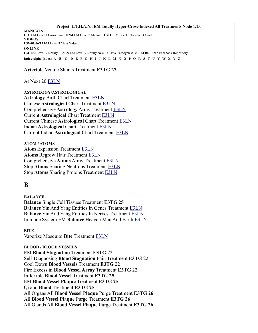**Arteriole** Venule Shunts Treatment **E3TG 27**

# At Next 20 [E3LN](https://energymedicine.online/em3-new-em-level-3-treatments/#at20)

**ASTROLOGY/ASTROLOGICAL Astrology** Birth Chart Treatment [E3LN](https://energymedicine.online/em3-new-em-level-3-treatments/#abc) Chinese **Astrological** Chart Treatment [E3LN](https://energymedicine.online/em3-new-em-level-3-treatments/#chac) Comprehensive **Astrology** Array Treatment [E3LN](https://energymedicine.online/em3-new-em-level-3-treatments/#cmpaa) Current **Astrological** Chart Treatment [E3LN](https://energymedicine.online/em3-new-em-level-3-treatments/#cac) Current Chinese **Astrological** Chart Treatment [E3LN](https://energymedicine.online/em3-new-em-level-3-treatments/#cchac) Indian **Astrological** Chart Treatment [E3LN](https://energymedicine.online/em3-new-em-level-3-treatments/#iac) Current Indian **Astrological** Chart Treatment [E3LN](https://energymedicine.online/em3-new-em-level-3-treatments/#ciac)

**ATOM / ATOMS Atom** Expansion Treatment [E3LN](https://energymedicine.online/em3-new-em-level-3-treatments/#atex) **Atoms** Regrow Hair Treatment [E3LN](https://energymedicine.online/em3-new-em-level-3-treatments/#arg) Comprehensive **Atoms** Array Treatment [E3LN](https://energymedicine.online/em3-new-em-level-3-treatments/#caa) Stop **Atoms** Sharing Neutrons Treatment [E3LN](https://energymedicine.online/em3-new-em-level-3-treatments/#satshn) Stop **Atoms** Sharing Protons Treatment [E3LN](https://energymedicine.online/em3-new-em-level-3-treatments/#satshp)

# <span id="page-5-0"></span>**B**

**BALANCE Balance** Single Cell Tissues Treatment **E3TG 25 Balance** Yin And Yang Entities In Genes Treatment **E3LN Balance** Yin And Yang Entities In Nerves Treatment [E3LN](https://energymedicine.online/em3-new-em-level-3-treatments/#baly-ynerv) Immune System EM **Balance** Heaven Man And Earth [E3LN](https://energymedicine.online/em3-new-em-level-3-treatments/#isbh-m-e)

**BITE**

Vaporize Mosquito **Bite** Treatment [E3LN](https://energymedicine.online/em3-new-em-level-3-treatments/#vmb)

# **BLOOD / BLOOD VESSELS**

EM **Blood Stagnation** Treatment **E3TG** 22 Self-Diagnosing **Blood Stagnation** Pain Treatment **E3TG** 22 Cool Down **Blood Vessels** Treatment **E3TG** 22 Fire Excess in **Blood Vessel Array** Treatment **E3TG** 22 Inflexible **Blood Vessel** Treatment **E3TG 25** EM **Blood Vessel Plaque** Treatment **E3TG 25** Qi and **Blood** Treatmen**t E3TG 25** All Organs All **Blood Vessel Plaque** Purge Treatment **E3TG 26** All **Blood Vessel Plaque** Purge Treatment **E3TG 26** All Glands All **Blood Vessel Plaque** Purge Treatment **E3TG 26**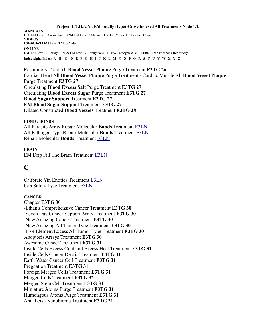Respiratory Tract All **Blood Vessel Plaque** Purge Treatment **E3TG 26** Cardiac Heart All **Blood Vessel Plaque** Purge Treatment / Cardiac Muscle All **Blood Vessel Plaque** Purge Treatment **E3TG 27** Circulating **Blood Excess Salt** Purge Treatment **E3TG 27** Circulating **Blood Excess Sugar** Purge Treatment **E3TG 27 Blood Sugar Support** Treatment **E3TG 27 EM Blood Sugar Support** Treatment **E3TG 27** Dilated Constricted **Blood Vessels** Treatment **E3TG 28**

#### **BOND / BONDS**

All Parasite Array Repair Molecular **Bonds** Treatment [E3LN](https://energymedicine.online/em3-new-em-level-3-treatments/#aparmb) All Pathogen Type Repair Molecular **Bonds** Treatment [E3LN](https://energymedicine.online/em3-new-em-level-3-treatments/#aptrmb) Repair Molecular **Bonds** Treatment [E3LN](https://energymedicine.online/em3-new-em-level-3-treatments/#rmb)

#### **BRAIN**

EM Drip Fill The Brain Treatment [E3LN](https://energymedicine.online/em3-new-em-level-3-treatments/#edfb)

# <span id="page-6-0"></span>**C**

Calibrate Yin Entities Treatment [E3LN](https://energymedicine.online/em3-new-em-level-3-treatments/#calyin) Can Safely Lyse Treatment [E3LN](https://energymedicine.online/em3-new-em-level-3-treatments/#csly)

# **CANCER**

Chapter **E3TG 30** -Ethan's Comprehensive Cancer Treatment **E3TG 30** -Seven Day Cancer Support Array Treatment **E3TG 30** -New Amazing Cancer Treatment **E3TG 30** -New Amazing All Tumor Type Treatment **E3TG 30** -Five Element Excess All Tumor Type Treatment **E3TG 30** Apoptosis Arrays Treatment **E3TG 30** Awesome Cancer Treatment **E3TG 31** Inside Cells Excess Cold and Excess Heat Treatment **E3TG 31** Inside Cells Cancer Debris Treatment **E3TG 31** Earth Water Cancer Cell Treatment **E3TG 31** Pregnation Treatment **E3TG 31** Foreign Merged Cells Treatment **E3TG 31** Merged Cells Treatment **E3TG 32** Merged Stem Cell Treatment **E3TG 31** Miniature Atoms Purge Treatment **E3TG 31** Humongous Atoms Purge Treatment **E3TG 31** Anti-Leish Nanobiome Treatment **E3TG 31**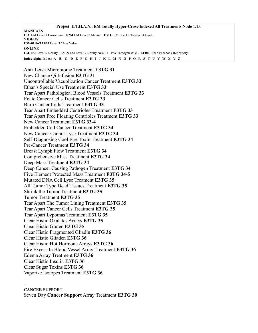**Project E.T.H.A.N.: EM Totally Hyper-Cross-Indexed All Treatments Node 1.1.0 MANUALS E1C** EM Level 1 Curriculum . **E2M** EM Level 2 Manual . **E3TG** EM Level 3 Treatment Guide . **VIDEOS E3V-01/06/15** EM Level 3 Class Video . **ONLINE E3L** EM Level 3 Library . **E3LN** EM Level 3 Library New Tx . **PW** Pathogen Wiki . **EFBR** Ethan Facebook Repository Index Alpha Index: [A](#page-3-0) [B](#page-5-0) [C](#page-6-0) [D](#page-12-0) [E](#page-13-0) [F](#page-14-0) [G](#page-15-0) [H](#page-16-1) [I](#page-16-0) [J](#page-17-3) [K](#page-17-2) [L](#page-17-1) [M](#page-17-0) [N](#page-18-0) [O](#page-22-1) [P](#page-22-0) [Q](#page-24-1) [R](#page-24-0) [S](#page-25-0) [T](#page-28-2) [U](#page-28-1) [V](#page-28-0) [W](#page-29-2) [X](#page-29-1) [Y](#page-29-0) [Z](#page-30-0)

Anti-Leish Microbiome Treatment **E3TG 31** New Chance Qi Infusion **E3TG 31** Uncontrollable Vacuolization Cancer Treatment **E3TG 33** Ethan's Special Use Treatment **E3TG 33** Tear Apart Pathological Blood Vessels Treatment **E3TG 33** Ecute Cancer Cells Treatment **E3TG 33** Burn Cancer Cells Treatment **E3TG 33** Tear Apart Embedded Centrioles Treatment **E3TG 33** Tear Apart Free Floating Centrioles Treatment **E3TG 33** New Cancer Treatment **E3TG 33-4** Embedded Cell Cancer Treatment **E3TG 34** New Cancer Cannot Lyse Treatment **E3TG 34** Self-Diagnosing Cool Fire Toxin Treatment **E3TG 34** Pre-Cancer Treatment **E3TG 34** Breast Lymph Flow Treatment **E3TG 34** Comprehensive Mass Treatment **E3TG 34** Deep Mass Treatment **E3TG 34** Deep Cancer Causing Pathogen Treatment **E3TG 34** Five Element Protected Mass Treatment **E3TG 34-5** Mutated DNA Cell Lyse Treament **E3TG 35** All Tumor Type Dead Tissues Treatment **E3TG 35** Shrink the Tumor Treatment **E3TG 35** Tumor Treatment **E3TG 35** Tear Apart The Tumor Lining Treatment **E3TG 35** Tear Apart Cancer Cells Treatment **E3TG 35** Tear Apart Lypomas Treatment **E3TG 35** Clear Histio Oxalates Arrays **E3TG 35** Clear Histio Gluten **E3TG 35** Clear Histio Fragmented Gliadin **E3TG 36** Clear Histio Gliaden **E3TG 36** Clear Histio Hot Hormone Arrays **E3TG 36** Fire Excess In Blood Vessel Array Treatment **E3TG 36** Edema Array Treatment **E3TG 36** Clear Histio Insulin **E3TG 36** Clear Sugar Toxins **E3TG 36** Vaporize Isotopes Treatment **E3TG 36**

#### - **CANCER SUPPORT** Seven Day **Cancer Support** Array Treatment **E3TG 30**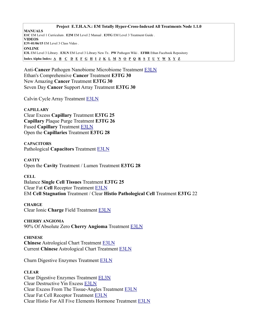Anti-**Cancer** Pathogen Nanobiome Microbiome Treatment [E3LN](https://energymedicine.online/em3-new-em-level-3-treatments/#a-cpnm) Ethan's Comprehensive **Cancer** Treatment **E3TG 30** New Amazing **Cancer** Treatment **E3TG 30** Seven Day **Cancer** Support Array Treatment **E3TG 30**

Calvin Cycle Array Treatment [E3LN](https://energymedicine.online/em3-new-em-level-3-treatments/#cca)

**CAPILLARY** Clear Excess **Capillary** Treatment **E3TG 25 Capillary** Plaque Purge Treatment **E3TG 26** Fused **Capillary** Treatment [E3LN](https://energymedicine.online/em3-new-em-level-3-treatments/#fucap) Open the **Capillaries** Treatment **E3TG 28**

**CAPACITORS** Pathological **Capacitors** Treatment [E3LN](https://energymedicine.online/em3-new-em-level-3-treatments/#pc)

**CAVITY** Open the **Cavity** Treatment / Lumen Treatment **E3TG 28**

**CELL** Balance **Single Cell Tissues** Treatment **E3TG 25** Clear Fat **Cell** Receptor Treatment [E3LN](https://energymedicine.online/em3-new-em-level-3-treatments/#cfcr) EM **Cell Stagnation** Treatment / Clear **Histio Pathological Cell** Treatment **E3TG** 22

**CHARGE** Clear Ionic **Charge** Field Treatment [E3LN](https://energymedicine.online/em3-new-em-level-3-treatments/#cicf)

**CHERRY ANGIOMA** 90% Of Absolute Zero **Cherry Angioma** Treatment [E3LN](https://energymedicine.online/em3-new-em-level-3-treatments/#90azca)

**CHINESE Chinese** Astrological Chart Treatment [E3LN](https://energymedicine.online/em3-new-em-level-3-treatments/#chac) Current **Chinese** Astrological Chart Treatment [E3LN](https://energymedicine.online/em3-new-em-level-3-treatments/#cchac)

Churn Digestive Enzymes Treatment [E3LN](https://energymedicine.online/em3-new-em-level-3-treatments/#cde)

# **CLEAR**

Clear Digestive Enzymes Treatment [EL3N](https://energymedicine.online/em3-new-em-level-3-treatments/#clrde) Clear Destructive Yin Excess [E3LN](https://energymedicine.online/em3-new-em-level-3-treatments/#cdye) Clear Excess From The Tissue-Angles Treatment [E3LN](https://energymedicine.online/em3-new-em-level-3-treatments/#cet-a) Clear Fat Cell Receptor Treatment [E3LN](https://energymedicine.online/em3-new-em-level-3-treatments/#cfcr) Clear Histio For All Five Elements Hormone Treatment [E3LN](https://energymedicine.online/em3-new-em-level-3-treatments/#clrhis5)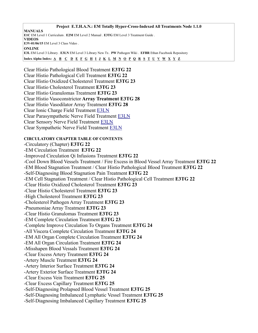**Project E.T.H.A.N.: EM Totally Hyper-Cross-Indexed All Treatments Node 1.1.0 MANUALS E1C** EM Level 1 Curriculum . **E2M** EM Level 2 Manual . **E3TG** EM Level 3 Treatment Guide . **VIDEOS E3V-01/06/15** EM Level 3 Class Video . **ONLINE E3L** EM Level 3 Library . **E3LN** EM Level 3 Library New Tx . **PW** Pathogen Wiki . **EFBR** Ethan Facebook Repository Index Alpha Index: [A](#page-3-0) [B](#page-5-0) [C](#page-6-0) [D](#page-12-0) [E](#page-13-0) [F](#page-14-0) [G](#page-15-0) [H](#page-16-1) [I](#page-16-0) [J](#page-17-3) [K](#page-17-2) [L](#page-17-1) [M](#page-17-0) [N](#page-18-0) [O](#page-22-1) [P](#page-22-0) [Q](#page-24-1) [R](#page-24-0) [S](#page-25-0) [T](#page-28-2) [U](#page-28-1) [V](#page-28-0) [W](#page-29-2) [X](#page-29-1) [Y](#page-29-0) [Z](#page-30-0)

Clear Histio Pathological Blood Treatment **E3TG 22** Clear Histio Pathological Cell Treatment **E3TG 22** Clear Histio Oxidized Cholesterol Treatment **E3TG 23** Clear Histio Cholesterol Treatment **E3TG 23** Clear Histio Granulomas Treatment **E3TG 23** Clear Histio Vasoconstrictor **Array Treatment E3TG 28** Clear Histio Vasodilator Array Treatment **E3TG 28** Clear Ionic Charge Field Treatment [E3LN](http://emenergymedicine.qiinfusions.com/em3-new-em-level-3-treatments/#cicf) Clear Parasympathetic Nerve Field Treatment [E3LN](http://emenergymedicine.qiinfusions.com/em3-new-em-level-3-treatments/#cpnf) Clear Sensory Nerve Field Treatment [E3LN](http://emenergymedicine.qiinfusions.com/em3-new-em-level-3-treatments/#csennf) Clear Sympathetic Nerve Field Treatment [E3LN](http://emenergymedicine.qiinfusions.com/em3-new-em-level-3-treatments/#csnf)

# **CIRCULATORY CHAPTER TABLE OF CONTENTS**

-Circulatory (Chapter) **E3TG 22** -EM Circulation Treatment **E3TG 22** -Improved Circulation Qi Infusions Treatment **E3TG 22** -Cool Down Blood Vessels Treatment / Fire Excess in Blood Vessel Array Treatment **E3TG 22** -EM Blood Stagnation Treatment / Clear Histio Pathological Blood Treatment **E3TG 22** -Self-Diagnosing Blood Stagnation Pain Treatment **E3TG 22** -EM Cell Stagnation Treatment / Clear Histio Pathological Cell Treatment **E3TG 22** -Clear Histio Oxidized Cholesterol Treatment **E3TG 23** -Clear Histio Cholesterol Treatment **E3TG 23** -High Cholesterol Treatment **E3TG 23** -Cholesterol Pathogen Array Treatment **E3TG 23** -Pneumoniae Array Treatment **E3TG 23** -Clear Histio Granulomas Treatment **E3TG 23** -EM Complete Circulation Treatment **E3TG 23** -Complete Improve Circulation To Organs Treatment **E3TG 24** -All Viscera Complete Circulation Treatment **E3TG 24** -EM All Organ Complete Circulation Treatment **E3TG 24** -EM All Organ Circulation Treatment **E3TG 24** -Misshapen Blood Vessals Treatment **E3TG 24** -Clear Excess Artery Treatment **E3TG 24** -Artery Muscle Treatment **E3TG 24** -Artery Interior Surface Treatment **E3TG 24** -Artery Exterior Surface Treatment **E3TG 24** -Clear Excess Vein Treatment **E3TG 25** -Clear Excess Capillary Treatment **E3TG 25** -Self-Diagnosing Prolapsed Blood Vessel Treatment **E3TG 25** -Self-Diagnosing Imbalanced Lymphatic Vessel Treatment **E3TG 25** -Self-Diagnosing Imbalanced Capillary Treatment **E3TG 25**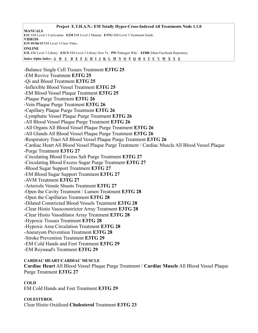**Project E.T.H.A.N.: EM Totally Hyper-Cross-Indexed All Treatments Node 1.1.0 MANUALS E1C** EM Level 1 Curriculum . **E2M** EM Level 2 Manual . **E3TG** EM Level 3 Treatment Guide . **VIDEOS E3V-01/06/15** EM Level 3 Class Video . **ONLINE E3L** EM Level 3 Library . **E3LN** EM Level 3 Library New Tx . **PW** Pathogen Wiki . **EFBR** Ethan Facebook Repository Index Alpha Index:  $\underline{A}$   $\underline{B}$   $\underline{C}$   $\underline{D}$   $\underline{E}$   $\underline{F}$   $\underline{G}$   $\underline{H}$   $\underline{I}$   $\underline{J}$   $\underline{K}$   $\underline{L}$   $\underline{M}$   $\underline{N}$   $\underline{O}$   $\underline{P}$   $\underline{O}$   $\underline{R}$   $\underline{S}$   $\underline{T}$   $\underline{U}$   $\underline{V}$   $\underline{$ -Balance Single Cell Tissues Treatment **E3TG 25** -EM Revive Treatment **E3TG 25** -Qi and Blood Treatment **E3TG 25** -Inflexible Blood Vessel Treatment **E3TG 25** -EM Blood Vessel Plaque Treatment **E3TG 25** -Plaque Purge Treatment **E3TG 26** -Vein Plaque Purge Treatment **E3TG 26** -Capillary Plaque Purge Treatment **E3TG 26** -Lymphatic Vessel Plaque Purge Treatment **E3TG 26** -All Blood Vessel Plaque Purge Treatment **E3TG 26** -All Organs All Blood Vessel Plaque Purge Treatment **E3TG 26** -All Glands All Blood Vessel Plaque Purge Treatment **E3TG 26** -Respiratory Tract All Blood Vessel Plaque Purge Treatment **E3TG 26** -Cardiac Heart All Blood Vessel Plaque Purge Treatment / Cardiac Muscle All Blood Vessel Plaque -Purge Treatment **E3TG 27** -Circulating Blood Excess Salt Purge Treatment **E3TG 27** -Circulating Blood Excess Sugar Purge Treatment **E3TG 27** -Blood Sugar Support Treatment **E3TG 27** -EM Blood Sugar Support Treatment **E3TG 27** -AVM Treatment **E3TG 27** -Arteriole Venule Shunts Treatment **E3TG 27** -Open the Cavity Treatment / Lumen Treatment **E3TG 28** -Open the Capillaries Treatment **E3TG 28** -Dilated Constricted Blood Vessels Treatment **E3TG 28** -Clear Histio Vasoconstrictor Array Treatment **E3TG 28** -Clear Histio Vasodilator Array Treatment **E3TG 28** -Hypoxic Tissues Treatment **E3TG 28** -Hypoxic Area Circulation Treatment **E3TG 28** -Aneurysm Prevention Treatment **E3TG 28** -Stroke Prevention Treatment **E3TG 29** -EM Cold Hands and Feet Treatment **E3TG 29** -EM Reynaud's Treatment **E3TG 29**

# **CARDIAC HEART/CARDIAC MUSCLE**

**Cardiac Heart** All Blood Vessel Plaque Purge Treatment / **Cardiac Muscle** All Blood Vessel Plaque Purge Treatment **E3TG 27**

# **COLD**

EM Cold Hands and Feet Treatment **E3TG 29**

# **COLESTEROL**

Clear Histio Oxidized **Cholesterol** Treatment **E3TG 23**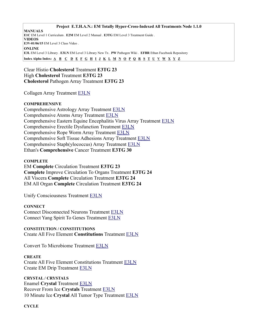Clear Histio **Cholesterol** Treatment **E3TG 23** High **Cholesterol** Treatment **E3TG 23 Cholesterol** Pathogen Array Treatment **E3TG 23**

Collagen Array Treatment [E3LN](https://energymedicine.online/em3-new-em-level-3-treatments/#cola)

# **COMPREHENSIVE**

Comprehensive Astrology Array Treatment [E3LN](https://energymedicine.online/em3-new-em-level-3-treatments/#cmpaa) Comprehensive Atoms Array Treatment [E3LN](https://energymedicine.online/em3-new-em-level-3-treatments/#caa) Comprehensive Eastern Equine Encephalitis Virus Array Treatment [E3LN](https://energymedicine.online/em3-new-em-level-3-treatments/#ceee) Comprehensive Erectile Dysfunction Treatment [E3LN](https://energymedicine.online/em3-new-em-level-3-treatments/#ced) Comprehensive Rope Worm Array Treatment [E3LN](https://energymedicine.online/em3-new-em-level-3-treatments/#crwa) Comprehensive Soft Tissue Adhesions Array Treatment [E3LN](https://energymedicine.online/em3-new-em-level-3-treatments/#cstaa) Comprehensive Staph(ylococcus) Array Treatment [E3LN](https://energymedicine.online/em3-new-em-level-3-treatments/#csa) Ethan's **Comprehensive** Cancer Treatment **E3TG 30**

# **COMPLETE**

EM **Complete** Circulation Treatment **E3TG 23 Complete** Improve Circulation To Organs Treatment **E3TG 24** All Viscera **Complete** Circulation Treatment **E3TG 24** EM All Organ **Complete** Circulation Treatment **E3TG 24**

Unify Consciousness Treatment [E3LN](https://energymedicine.online/em3-new-em-level-3-treatments/#uc)

# **CONNECT**

Connect Disconnected Neurons Treatment [E3LN](https://energymedicine.online/em3-new-em-level-3-treatments/#cntdn) Connect Yang Spirit To Genes Treatment [E3LN](https://energymedicine.online/em3-new-em-level-3-treatments/#conyangs2g)

**CONSTITUTION / CONSTITUTIONS** Create All Five Element **Constitutions** Treatment [E3LN](https://energymedicine.online/em3-new-em-level-3-treatments/#cafe)

Convert To Microbiome Treatment [E3LN](https://energymedicine.online/em3-new-em-level-3-treatments/#ctm)

# **CREATE**

Create All Five Element Constitutions Treatment [E3LN](https://energymedicine.online/em3-new-em-level-3-treatments/#cafe) Create EM Drip Treatment [E3LN](https://energymedicine.online/em3-new-em-level-3-treatments/#cemd)

**CRYSTAL / CRYSTALS** Enamel **Crystal** Treatment [E3LN](https://energymedicine.online/em3-new-em-level-3-treatments/#ect) Recover From Ice **Crystals** Treatment [E3LN](https://energymedicine.online/em3-new-em-level-3-treatments/#rfic) 10 Minute Ice **Crystal** All Tumor Type Treatment [E3LN](https://energymedicine.online/em3-new-em-level-3-treatments/#10mic)

**CYCLE**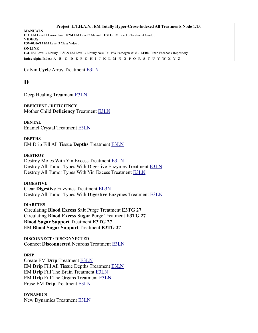Calvin **Cycle** Array Treatment [E3LN](https://energymedicine.online/em3-new-em-level-3-treatments/#cca)

# <span id="page-12-0"></span>**D**

Deep Healing Treatment [E3LN](https://energymedicine.online/em3-new-em-level-3-treatments/#deep)

**DEFICIENT / DEFICIENCY** Mother Child **Deficiency** Treatment [E3LN](https://energymedicine.online/em3-new-em-level-3-treatments/#mcdef)

**DENTAL** Enamel Crystal Treatment [E3LN](https://energymedicine.online/em3-new-em-level-3-treatments/#ect)

# **DEPTHS**

EM Drip Fill All Tissue **Depths** Treatment [E3LN](https://energymedicine.online/em3-new-em-level-3-treatments/#edfat)

# **DESTROY**

Destroy Moles With Yin Excess Treatment [E3LN](https://energymedicine.online/em3-new-em-level-3-treatments/#dmye) Destroy All Tumor Types With Digestive Enzymes Treatment [E3LN](https://energymedicine.online/em3-new-em-level-3-treatments/#datt) Destroy All Tumor Types With Yin Excess Treatment [E3LN](https://energymedicine.online/em3-new-em-level-3-treatments/#dttye)

# **DIGESTIVE**

Clear **Digestive** Enzymes Treatment [EL3N](https://energymedicine.online/em3-new-em-level-3-treatments/#clrde) Destroy All Tumor Types With **Digestive** Enzymes Treatment [E3LN](https://energymedicine.online/em3-new-em-level-3-treatments/#datt)

# **DIABETES**

Circulating **Blood Excess Salt** Purge Treatment **E3TG 27** Circulating **Blood Excess Sugar** Purge Treatment **E3TG 27 Blood Sugar Support** Treatment **E3TG 27** EM **Blood Sugar Support** Treatment **E3TG 27**

**DISCONNECT / DISCONNECTED** Connect **Disconnected** Neurons Treatment [E3LN](https://energymedicine.online/em3-new-em-level-3-treatments/#cntdn)

# **DRIP**

Create EM **Drip** Treatment [E3LN](https://energymedicine.online/em3-new-em-level-3-treatments/#cemd) EM **Drip** Fill All Tissue Depths Treatment [E3LN](https://energymedicine.online/em3-new-em-level-3-treatments/#edfat) EM **Drip** Fill The Brain Treatment [E3LN](https://energymedicine.online/em3-new-em-level-3-treatments/#edfb) EM **Drip** Fill The Organs Treatment [E3LN](https://energymedicine.online/em3-new-em-level-3-treatments/#edfo) Erase EM **Drip** Treatment [E3LN](https://energymedicine.online/em3-new-em-level-3-treatments/#eed)

# **DYNAMICS**

New Dynamics Treatment [E3LN](https://energymedicine.online/em3-new-em-level-3-treatments/#ndyn)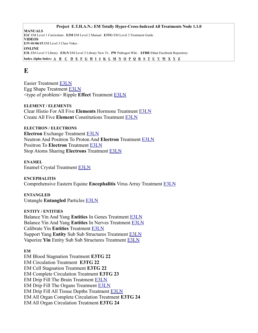# <span id="page-13-0"></span>**E**

Easier Treatment [E3LN](https://energymedicine.online/em3-new-em-level-3-treatments/#ease) Egg Shape Treatment [E3LN](https://energymedicine.online/em3-new-em-level-3-treatments/#egg) <type of problem> Ripple **Effect** Treatment [E3LN](https://energymedicine.online/em3-new-em-level-3-treatments/#topre)

**ELEMENT / ELEMENTS** Clear Histio For All Five **Elements** Hormone Treatment [E3LN](https://energymedicine.online/em3-new-em-level-3-treatments/#clrhis5) Create All Five **Element** Constitutions Treatment [E3LN](https://energymedicine.online/em3-new-em-level-3-treatments/#cafe)

**ELECTRON / ELECTRONS Electron** Exchange Treatment [E3LN](https://energymedicine.online/em3-new-em-level-3-treatments/#eex) Neutron And Positron To Proton And **Electron** Treatment [E3LN](https://energymedicine.online/em3-new-em-level-3-treatments/#np2pe) Positron To **Electron** Treatment [E3LN](https://energymedicine.online/em3-new-em-level-3-treatments/#p2e) Stop Atoms Sharing **Electrons** Treatment [E3LN](https://energymedicine.online/em3-new-em-level-3-treatments/#satshe)

**ENAMEL** Enamel Crystal Treatment [E3LN](https://energymedicine.online/em3-new-em-level-3-treatments/#ect)

**ENCEPHALITIS** Comprehensive Eastern Equine **Encephalitis** Virus Array Treatment [E3LN](https://energymedicine.online/em3-new-em-level-3-treatments/#ceee)

**ENTANGLED** Untangle **Entangled** Particles [E3LN](https://energymedicine.online/em3-new-em-level-3-treatments/#uep)

**ENTITY / ENTITIES** Balance Yin And Yang **Entities** In Genes Treatment [E3LN](https://energymedicine.online/em3-new-em-level-3-treatments/#baly-ygene) Balance Yin And Yang **Entities** In Nerves Treatment [E3LN](https://energymedicine.online/em3-new-em-level-3-treatments/#baly-ynerv) Calibrate Yin **Entities** Treatment [E3LN](https://energymedicine.online/em3-new-em-level-3-treatments/#calyin) Support Yang **Entity** Sub Sub Structures Treatment [E3LN](https://energymedicine.online/em3-new-em-level-3-treatments/#supyangsss) Vaporize **Yin** Entity Sub Sub Structures Treatment [E3LN](https://energymedicine.online/em3-new-em-level-3-treatments/#vapyinsss)

# **EM**

EM Blood Stagnation Treatment **E3TG 22** EM Circulation Treatment **E3TG 22** EM Cell Stagnation Treatment **E3TG 22** EM Complete Circulation Treatment **E3TG 23** EM Drip Fill The Brain Treatment [E3LN](https://energymedicine.online/em3-new-em-level-3-treatments/#edfb) EM Drip Fill The Organs Treatment [E3LN](https://energymedicine.online/em3-new-em-level-3-treatments/#edfo) EM Drip Fill All Tissue Depths Treatment [E3LN](https://energymedicine.online/em3-new-em-level-3-treatments/#edfat) EM All Organ Complete Circulation Treatment **E3TG 24** EM All Organ Circulation Treatment **E3TG 24**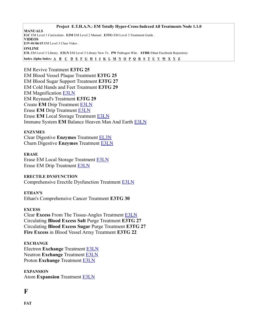#### **Project E.T.H.A.N.: EM Totally Hyper-Cross-Indexed All Treatments Node 1.1.0**

**MANUALS E1C** EM Level 1 Curriculum . **E2M** EM Level 2 Manual . **E3TG** EM Level 3 Treatment Guide . **VIDEOS E3V-01/06/15** EM Level 3 Class Video . **ONLINE E3L** EM Level 3 Library . **E3LN** EM Level 3 Library New Tx . **PW** Pathogen Wiki . **EFBR** Ethan Facebook Repository Index Alpha Index:  $\underline{A}$   $\underline{B}$   $\underline{C}$   $\underline{D}$   $\underline{E}$   $\underline{F}$   $\underline{G}$   $\underline{H}$   $\underline{I}$   $\underline{J}$   $\underline{K}$   $\underline{L}$   $\underline{M}$   $\underline{N}$   $\underline{O}$   $\underline{P}$   $\underline{O}$   $\underline{R}$   $\underline{S}$   $\underline{T}$   $\underline{U}$   $\underline{V}$   $\underline{$ 

EM Revive Treatment **E3TG 25** EM Blood Vessel Plaque Treatment **E3TG 25** EM Blood Sugar Support Treatment **E3TG 27** EM Cold Hands and Feet Treatment **E3TG 29** EM Magnification [E3LN](https://energymedicine.online/em3-new-em-level-3-treatments/#em-mag) EM Reynaud's Treatment **E3TG 29** Create **EM** Drip Treatment [E3LN](https://energymedicine.online/em3-new-em-level-3-treatments/#cemd) Erase **EM** Drip Treatment [E3LN](https://energymedicine.online/em3-new-em-level-3-treatments/#eed) Erase **EM** Local Storage Treatment [E3LN](https://energymedicine.online/em3-new-em-level-3-treatments/#eels) Immune System **EM** Balance Heaven Man And Earth [E3LN](https://energymedicine.online/em3-new-em-level-3-treatments/#isbh-m-e)

#### **ENZYMES**

Clear Digestive **Enzymes** Treatment [EL3N](https://energymedicine.online/em3-new-em-level-3-treatments/#clrde) Churn Digestive **Enzymes** Treatment [E3LN](https://energymedicine.online/em3-new-em-level-3-treatments/#cde) 

#### **ERASE**

Erase EM Local Storage Treatment [E3LN](https://energymedicine.online/em3-new-em-level-3-treatments/#eels) Erase EM Drip Treatment [E3LN](https://energymedicine.online/em3-new-em-level-3-treatments/#eed)

#### **ERECTILE DYSFUNCTION**

Comprehensive Erectile Dysfunction Treatment [E3LN](https://energymedicine.online/em3-new-em-level-3-treatments/#ced)

#### **ETHAN'S**

Ethan's Comprehensive Cancer Treatment **E3TG 30**

#### **EXCESS**

Clear **Excess** From The Tissue-Angles Treatment [E3LN](https://energymedicine.online/em3-new-em-level-3-treatments/#cet-a) Circulating **Blood Excess Salt** Purge Treatment **E3TG 27** Circulating **Blood Excess Sugar** Purge Treatment **E3TG 27 Fire Excess** in Blood Vessel Array Treatment **E3TG 22**

# **EXCHANGE**

Electron **Exchange** Treatment [E3LN](https://energymedicine.online/em3-new-em-level-3-treatments/#eex) Neutron **Exchange** Treatment [E3LN](https://energymedicine.online/em3-new-em-level-3-treatments/#nex) Proton **Exchange** Treatment [E3LN](https://energymedicine.online/em3-new-em-level-3-treatments/#pex)

**EXPANSION** Atom **Expansion** Treatment [E3LN](https://energymedicine.online/em3-new-em-level-3-treatments/#atex)

# <span id="page-14-0"></span>**F**

**FAT**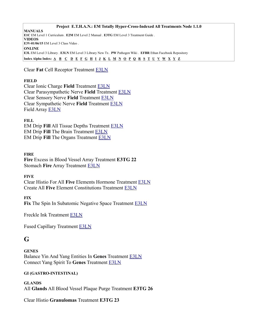Clear **Fat** Cell Receptor Treatment [E3LN](https://energymedicine.online/em3-new-em-level-3-treatments/#cfcr)

# **FIELD**

Clear Ionic Charge **Field** Treatment [E3LN](https://energymedicine.online/em3-new-em-level-3-treatments/#cicf) Clear Parasympathetic Nerve **Field** Treatment [E3LN](https://energymedicine.online/em3-new-em-level-3-treatments/#cpnf) Clear Sensory Nerve **Field** Treatment [E3LN](https://energymedicine.online/em3-new-em-level-3-treatments/#csennf) Clear Sympathetic Nerve **Field** Treatment [E3LN](https://energymedicine.online/em3-new-em-level-3-treatments/#csnf) Field Array [E3LN](https://energymedicine.online/em3-new-em-level-3-treatments/#farr)

# **FILL**

EM Drip **Fill** All Tissue Depths Treatment [E3LN](https://energymedicine.online/em3-new-em-level-3-treatments/#edfat) EM Drip **Fill** The Brain Treatment [E3LN](https://energymedicine.online/em3-new-em-level-3-treatments/#edfb) EM Drip **Fill** The Organs Treatment [E3LN](https://energymedicine.online/em3-new-em-level-3-treatments/#edfo)

# **FIRE**

**Fire** Excess in Blood Vessel Array Treatment **E3TG 22** Stomach **Fire** Array Treatment [E3LN](https://energymedicine.online/em3-new-em-level-3-treatments/#sfia)

# **FIVE**

Clear Histio For All **Five** Elements Hormone Treatment [E3LN](https://energymedicine.online/em3-new-em-level-3-treatments/#clrhis5) Create All **Five** Element Constitutions Treatment [E3LN](https://energymedicine.online/em3-new-em-level-3-treatments/#cafe)

# **FIX**

Fix The Spin In Subatomic Negative Space Treatment **E3LN** 

Freckle Ink Treatment [E3LN](https://energymedicine.online/em3-new-em-level-3-treatments/#fi)

Fused Capillary Treatment [E3LN](https://energymedicine.online/em3-new-em-level-3-treatments/#fucap)

# <span id="page-15-0"></span>**G**

**GENES** Balance Yin And Yang Entities In **Genes** Treatment [E3LN](https://energymedicine.online/em3-new-em-level-3-treatments/#baly-ygene) Connect Yang Spirit To **Genes** Treatment [E3LN](https://energymedicine.online/em3-new-em-level-3-treatments/#conyangs2g)

# **GI (GASTRO-INTESTINAL)**

**GLANDS** All **Glands** All Blood Vessel Plaque Purge Treatment **E3TG 26**

Clear Histio **Granulomas** Treatment **E3TG 23**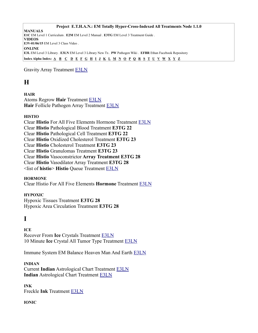Gravity Array Treatment [E3LN](https://energymedicine.online/em3-new-em-level-3-treatments/#gra)

# <span id="page-16-1"></span>**H**

**HAIR** Atoms Regrow **Hair** Treatment [E3LN](https://energymedicine.online/em3-new-em-level-3-treatments/#arg) **Hair** Follicle Pathogen Array Treatment [E3LN](https://energymedicine.online/em3-new-em-level-3-treatments/#folpa)

# **HISTIO**

Clear **Histio** For All Five Elements Hormone Treatment [E3LN](https://energymedicine.online/em3-new-em-level-3-treatments/#clrhis5) Clear **Histio** Pathological Blood Treatment **E3TG 22** Clear **Histio** Pathological Cell Treatment **E3TG 22** Clear **Histio** Oxidized Cholesterol Treatment **E3TG 23** Clear **Histio** Cholesterol Treatment **E3TG 23** Clear **Histio** Granulomas Treatment **E3TG 23** Clear **Histio** Vasoconstrictor **Array Treatment E3TG 28** Clear **Histio** Vasodilator Array Treatment **E3TG 28** <list of **histio**> **Histio** Queue Treatment [E3LN](https://energymedicine.online/em3-new-em-level-3-treatments/#lhisqu)

# **HORMONE**

Clear Histio For All Five Elements **Hormone** Treatment [E3LN](https://energymedicine.online/em3-new-em-level-3-treatments/#clrhis5)

# **HYPOXIC**

Hypoxic Tissues Treatment **E3TG 28** Hypoxic Area Circulation Treatment **E3TG 28**

# <span id="page-16-0"></span>**I**

**ICE** Recover From **Ice** Crystals Treatment [E3LN](https://energymedicine.online/em3-new-em-level-3-treatments/#rfic) 10 Minute **Ice** Crystal All Tumor Type Treatment [E3LN](https://energymedicine.online/em3-new-em-level-3-treatments/#10mic)

Immune System EM Balance Heaven Man And Earth [E3LN](https://energymedicine.online/em3-new-em-level-3-treatments/#isbh-m-e)

# **INDIAN**

Current **Indian** Astrological Chart Treatment [E3LN](https://energymedicine.online/em3-new-em-level-3-treatments/#ciac) **Indian** Astrological Chart Treatment [E3LN](https://energymedicine.online/em3-new-em-level-3-treatments/#iac)

**INK** Freckle **Ink** Treatment [E3LN](https://energymedicine.online/em3-new-em-level-3-treatments/#fi)

# **IONIC**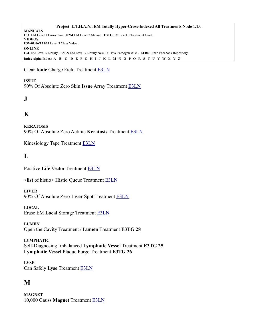Clear **Ionic** Charge Field Treatment [E3LN](https://energymedicine.online/em3-new-em-level-3-treatments/#cicf)

# **ISSUE**

90% Of Absolute Zero Skin **Issue** Array Treatment [E3LN](https://energymedicine.online/em3-new-em-level-3-treatments/#90azsia)

# <span id="page-17-3"></span>**J**

# <span id="page-17-2"></span>**K**

**KERATOSIS** 90% Of Absolute Zero Actinic **Keratosis** Treatment [E3LN](https://energymedicine.online/em3-new-em-level-3-treatments/#90azak)

Kinesiology Tape Treatment [E3LN](https://energymedicine.online/em3-new-em-level-3-treatments/#ktt)

# <span id="page-17-1"></span>**L**

Positive **Life** Vector Treatment [E3LN](https://energymedicine.online/em3-new-em-level-3-treatments/#plv)

<**list** of histio> Histio Queue Treatment [E3LN](https://energymedicine.online/em3-new-em-level-3-treatments/#lhisqu)

# **LIVER**

90% Of Absolute Zero **Liver** Spot Treatment [E3LN](https://energymedicine.online/em3-new-em-level-3-treatments/#90azls)

# **LOCAL**

Erase EM **Local** Storage Treatment [E3LN](https://energymedicine.online/em3-new-em-level-3-treatments/#eels)

**LUMEN** Open the Cavity Treatment / **Lumen** Treatment **E3TG 28**

# **LYMPHATIC**

Self-Diagnosing Imbalanced **Lymphatic Vessel** Treatment **E3TG 25 Lymphatic Vessel** Plaque Purge Treatment **E3TG 26**

**LYSE** Can Safely **Lyse** Treatment [E3LN](https://energymedicine.online/em3-new-em-level-3-treatments/#csly)

# <span id="page-17-0"></span>**M**

**MAGNET** 10,000 Gauss **Magnet** Treatment [E3LN](https://energymedicine.online/em3-new-em-level-3-treatments/#10k)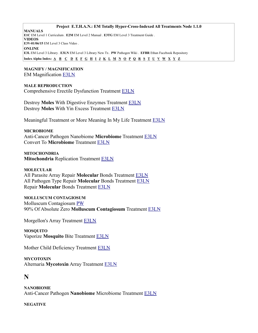**Project E.T.H.A.N.: EM Totally Hyper-Cross-Indexed All Treatments Node 1.1.0**

**MANUALS E1C** EM Level 1 Curriculum . **E2M** EM Level 2 Manual . **E3TG** EM Level 3 Treatment Guide . **VIDEOS E3V-01/06/15** EM Level 3 Class Video . **ONLINE E3L** EM Level 3 Library . **E3LN** EM Level 3 Library New Tx . **PW** Pathogen Wiki . **EFBR** Ethan Facebook Repository Index Alpha Index:  $\underline{A}$   $\underline{B}$   $\underline{C}$   $\underline{D}$   $\underline{E}$   $\underline{F}$   $\underline{G}$   $\underline{H}$   $\underline{I}$   $\underline{J}$   $\underline{K}$   $\underline{L}$   $\underline{M}$   $\underline{N}$   $\underline{O}$   $\underline{P}$   $\underline{O}$   $\underline{R}$   $\underline{S}$   $\underline{T}$   $\underline{U}$   $\underline{V}$   $\underline{$ 

#### **MAGNIFY / MAGNIFICATION** EM Magnification [E3LN](https://energymedicine.online/em3-new-em-level-3-treatments/#em-mag)

# **MALE REPRODUCTION**

Comprehensive Erectile Dysfunction Treatment [E3LN](https://energymedicine.online/em3-new-em-level-3-treatments/#ced)

Destroy **Moles** With Digestive Enzymes Treatment [E3LN](https://energymedicine.online/em3-new-em-level-3-treatments/#dmd) Destroy **Moles** With Yin Excess Treatment [E3LN](https://energymedicine.online/em3-new-em-level-3-treatments/#dmye)

Meaningful Treatment or More Meaning In My Life Treatment [E3LN](https://energymedicine.online/em3-new-em-level-3-treatments/#mt-mmlife)

#### **MICROBIOME**

Anti-Cancer Pathogen Nanobiome **Microbiome** Treatment [E3LN](https://energymedicine.online/em3-new-em-level-3-treatments/#a-cpnm) Convert To **Microbiome** Treatment [E3LN](https://energymedicine.online/em3-new-em-level-3-treatments/#ctm)

**MITOCHONDRIA Mitochondria** Replication Treatment [E3LN](https://energymedicine.online/em3-new-em-level-3-treatments/#mitr)

# **MOLECULAR**

All Parasite Array Repair **Molecular** Bonds Treatment [E3LN](https://energymedicine.online/em3-new-em-level-3-treatments/#aparmb) All Pathogen Type Repair **Molecular** Bonds Treatment [E3LN](https://energymedicine.online/em3-new-em-level-3-treatments/#aptrmb) Repair **Molecular** Bonds Treatment [E3LN](https://energymedicine.online/em3-new-em-level-3-treatments/#rmb)

# **MOLLUSCUM CONTAGIOSUM**

Molluscum Contagiosum [PW](https://energymedicine.online/gu-chong/please-contribute-to-the/pathogen-wiki/molluscum-contagiosum/) 90% Of Absolute Zero **Molluscum Contagiosum** Treatment [E3LN](https://energymedicine.online/em3-new-em-level-3-treatments/#90azmc)

Morgellon's Array Treatment **E3LN** 

**MOSQUITO** Vaporize **Mosquito** Bite Treatment [E3LN](https://energymedicine.online/em3-new-em-level-3-treatments/#vmb)

Mother Child Deficiency Treatment [E3LN](https://energymedicine.online/em3-new-em-level-3-treatments/#mcdef)

**MYCOTOXIN** Alternaria **Mycotoxin** Array Treatment [E3LN](https://energymedicine.online/em3-new-em-level-3-treatments/#amyca)

# <span id="page-18-0"></span>**N**

**NANOBIOME** Anti-Cancer Pathogen **Nanobiome** Microbiome Treatment [E3LN](https://energymedicine.online/em3-new-em-level-3-treatments/#a-cpnm)

# **NEGATIVE**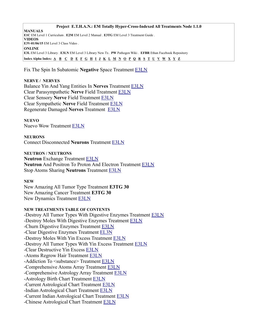Fix The Spin In Subatomic **Negative** Space Treatment [E3LN](https://energymedicine.online/em3-new-em-level-3-treatments/#fssns)

#### **NERVE / NERVES**

Balance Yin And Yang Entities In **Nerves** Treatment [E3LN](https://energymedicine.online/em3-new-em-level-3-treatments/#baly-ynerv) Clear Parasympathetic **Nerve** Field Treatment [E3LN](https://energymedicine.online/em3-new-em-level-3-treatments/#cpnf) Clear Sensory **Nerve** Field Treatment [E3LN](https://energymedicine.online/em3-new-em-level-3-treatments/#csennf) Clear Sympathetic **Nerve** Field Treatment [E3LN](https://energymedicine.online/em3-new-em-level-3-treatments/#csnf) Regenerate Damaged **Nerves** Treatment [E3LN](https://energymedicine.online/em3-new-em-level-3-treatments/#rdn)

# **NUEVO**

Nuevo Wow Treatment [E3LN](https://energymedicine.online/em3-new-em-level-3-treatments/#nwow)

**NEURONS**

Connect Disconnected **Neurons** Treatment [E3LN](https://energymedicine.online/em3-new-em-level-3-treatments/#cntdn)

**NEUTRON / NEUTRONS Neutron** Exchange Treatment [E3LN](https://energymedicine.online/em3-new-em-level-3-treatments/#nex) **Neutron** And Positron To Proton And Electron Treatment [E3LN](https://energymedicine.online/em3-new-em-level-3-treatments/#np2pe) Stop Atoms Sharing **Neutrons** Treatment [E3LN](https://energymedicine.online/em3-new-em-level-3-treatments/#satshn)

# **NEW**

New Amazing All Tumor Type Treatment **E3TG 30** New Amazing Cancer Treatment **E3TG 30** New Dynamics Treatment [E3LN](https://energymedicine.online/em3-new-em-level-3-treatments/#ndyn)

#### **NEW TREATMENTS TABLE OF CONTENTS**

-Destroy All Tumor Types With Digestive Enzymes Treatment [E3LN](https://energymedicine.online/em3-new-em-level-3-treatments/#datt) -Destroy Moles With Digestive Enzymes Treatment [E3LN](https://energymedicine.online/em3-new-em-level-3-treatments/#dmd) -Churn Digestive Enzymes Treatment [E3LN](https://energymedicine.online/em3-new-em-level-3-treatments/#cde) -Clear Digestive Enzymes Treatment [EL3N](https://energymedicine.online/em3-new-em-level-3-treatments/#clrde) -Destroy Moles With Yin Excess Treatment [E3LN](https://energymedicine.online/em3-new-em-level-3-treatments/#dmye) -Destroy All Tumor Types With Yin Excess Treatment [E3LN](https://energymedicine.online/em3-new-em-level-3-treatments/#dttye) -Clear Destructive Yin Excess [E3LN](https://energymedicine.online/em3-new-em-level-3-treatments/#cdye) -Atoms Regrow Hair Treatment [E3LN](https://energymedicine.online/em3-new-em-level-3-treatments/#arg) -Addiction To <substance> Treatment [E3LN](https://energymedicine.online/em3-new-em-level-3-treatments/#ats) -Comprehensive Atoms Array Treatment [E3LN](https://energymedicine.online/em3-new-em-level-3-treatments/#caa) -Comprehensive Astrology Array Treatment [E3LN](https://energymedicine.online/em3-new-em-level-3-treatments/#cmpaa) -Astrology Birth Chart Treatment [E3LN](https://energymedicine.online/em3-new-em-level-3-treatments/#abc) -Current Astrological Chart Treatment [E3LN](https://energymedicine.online/em3-new-em-level-3-treatments/#cac) -Indian Astrological Chart Treatment [E3LN](https://energymedicine.online/em3-new-em-level-3-treatments/#iac) -Current Indian Astrological Chart Treatment [E3LN](https://energymedicine.online/em3-new-em-level-3-treatments/#ciac) -Chinese Astrological Chart Treatment [E3LN](https://energymedicine.online/em3-new-em-level-3-treatments/#chac)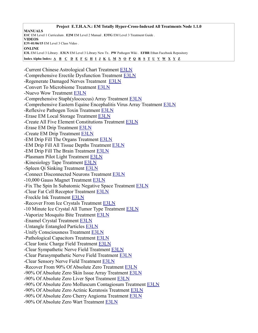**Project E.T.H.A.N.: EM Totally Hyper-Cross-Indexed All Treatments Node 1.1.0 MANUALS E1C** EM Level 1 Curriculum . **E2M** EM Level 2 Manual . **E3TG** EM Level 3 Treatment Guide . **VIDEOS E3V-01/06/15** EM Level 3 Class Video . **ONLINE E3L** EM Level 3 Library . **E3LN** EM Level 3 Library New Tx . **PW** Pathogen Wiki . **EFBR** Ethan Facebook Repository Index Alpha Index: [A](#page-3-0) [B](#page-5-0) [C](#page-6-0) [D](#page-12-0) [E](#page-13-0) [F](#page-14-0) [G](#page-15-0) [H](#page-16-1) [I](#page-16-0) [J](#page-17-3) [K](#page-17-2) [L](#page-17-1) [M](#page-17-0) [N](#page-18-0) [O](#page-22-1) [P](#page-22-0) [Q](#page-24-1) [R](#page-24-0) [S](#page-25-0) [T](#page-28-2) [U](#page-28-1) [V](#page-28-0) [W](#page-29-2) [X](#page-29-1) [Y](#page-29-0) [Z](#page-30-0) -Current Chinese Astrological Chart Treatment [E3LN](https://energymedicine.online/em3-new-em-level-3-treatments/#cchac) -Comprehensive Erectile Dysfunction Treatment [E3LN](https://energymedicine.online/em3-new-em-level-3-treatments/#ced) -Regenerate Damaged Nerves Treatment [E3LN](https://energymedicine.online/em3-new-em-level-3-treatments/#rdn) -Convert To Microbiome Treatment [E3LN](https://energymedicine.online/em3-new-em-level-3-treatments/#ctm) -Nuevo Wow Treatment [E3LN](https://energymedicine.online/em3-new-em-level-3-treatments/#nwow) -Comprehensive Staph(ylococcus) Array Treatment [E3LN](https://energymedicine.online/em3-new-em-level-3-treatments/#csa) -Comprehensive Eastern Equine Encephalitis Virus Array Treatment [E3LN](https://energymedicine.online/em3-new-em-level-3-treatments/#ceee) -Reflexive Pathogen Toxin Treatment [E3LN](https://energymedicine.online/em3-new-em-level-3-treatments/#rpt) -Erase EM Local Storage Treatment [E3LN](https://energymedicine.online/em3-new-em-level-3-treatments/#eels) -Create All Five Element Constitutions Treatment [E3LN](https://energymedicine.online/em3-new-em-level-3-treatments/#cafe) -Erase EM Drip Treatment [E3LN](https://energymedicine.online/em3-new-em-level-3-treatments/#eed) -Create EM Drip Treatment [E3LN](https://energymedicine.online/em3-new-em-level-3-treatments/#cemd) -EM Drip Fill The Organs Treatment [E3LN](https://energymedicine.online/em3-new-em-level-3-treatments/#edfo) -EM Drip Fill All Tissue Depths Treatment [E3LN](https://energymedicine.online/em3-new-em-level-3-treatments/#edfat) -EM Drip Fill The Brain Treatment [E3LN](https://energymedicine.online/em3-new-em-level-3-treatments/#edfb) -Plasmam Pilot Light Treatment [E3LN](https://energymedicine.online/em3-new-em-level-3-treatments/#ppl) -Kinesiology Tape Treatment [E3LN](https://energymedicine.online/em3-new-em-level-3-treatments/#ktt) -Spleen Qi Sinking Treatment [E3LN](https://energymedicine.online/em3-new-em-level-3-treatments/#sqs) -Connect Disconnected Neurons Treatment [E3LN](https://energymedicine.online/em3-new-em-level-3-treatments/#cntdn) -10,000 Gauss Magnet Treatment [E3LN](https://energymedicine.online/em3-new-em-level-3-treatments/#10k) -Fix The Spin In Subatomic Negative Space Treatment [E3LN](https://energymedicine.online/em3-new-em-level-3-treatments/#fssns) -Clear Fat Cell Receptor Treatment [E3LN](https://energymedicine.online/em3-new-em-level-3-treatments/#cfcr) -Freckle Ink Treatment [E3LN](https://energymedicine.online/em3-new-em-level-3-treatments/#fi) -Recover From Ice Crystals Treatment [E3LN](https://energymedicine.online/em3-new-em-level-3-treatments/#rfic) -10 Minute Ice Crystal All Tumor Type Treatment [E3LN](https://energymedicine.online/em3-new-em-level-3-treatments/#10mic) -Vaporize Mosquito Bite Treatment [E3LN](https://energymedicine.online/em3-new-em-level-3-treatments/#vmb) -Enamel Crystal Treatment [E3LN](https://energymedicine.online/em3-new-em-level-3-treatments/#ect) -Untangle Entangled Particles [E3LN](https://energymedicine.online/em3-new-em-level-3-treatments/#uep) -Unify Consciousness Treatment [E3LN](https://energymedicine.online/em3-new-em-level-3-treatments/#uc) -Pathological Capacitors Treatment [E3LN](https://energymedicine.online/em3-new-em-level-3-treatments/#pc) -Clear Ionic Charge Field Treatment [E3LN](https://energymedicine.online/em3-new-em-level-3-treatments/#cicf) -Clear Sympathetic Nerve Field Treatment [E3LN](https://energymedicine.online/em3-new-em-level-3-treatments/#csnf) -Clear Parasympathetic Nerve Field Treatment [E3LN](https://energymedicine.online/em3-new-em-level-3-treatments/#cpnf) -Clear Sensory Nerve Field Treatment [E3LN](https://energymedicine.online/em3-new-em-level-3-treatments/#csennf) -Recover From 90% Of Absolute Zero Treatment [E3LN](https://energymedicine.online/em3-new-em-level-3-treatments/#r90az) -90% Of Absolute Zero Skin Issue Array Treatment [E3LN](https://energymedicine.online/em3-new-em-level-3-treatments/#90azsia) -90% Of Absolute Zero Liver Spot Treatment [E3LN](https://energymedicine.online/em3-new-em-level-3-treatments/#90azls) -90% Of Absolute Zero Molluscum Contagiosum Treatment [E3LN](https://energymedicine.online/em3-new-em-level-3-treatments/#90azmc) -90% Of Absolute Zero Actinic Keratosis Treatment [E3LN](https://energymedicine.online/em3-new-em-level-3-treatments/#90azak) -90% Of Absolute Zero Cherry Angioma Treatment [E3LN](https://energymedicine.online/em3-new-em-level-3-treatments/#90azca) -90% Of Absolute Zero Wart Treatment [E3LN](https://energymedicine.online/em3-new-em-level-3-treatments/#90azw)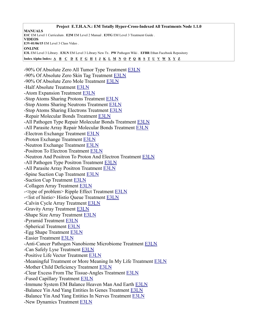**Project E.T.H.A.N.: EM Totally Hyper-Cross-Indexed All Treatments Node 1.1.0 MANUALS E1C** EM Level 1 Curriculum . **E2M** EM Level 2 Manual . **E3TG** EM Level 3 Treatment Guide . **VIDEOS E3V-01/06/15** EM Level 3 Class Video . **ONLINE E3L** EM Level 3 Library . **E3LN** EM Level 3 Library New Tx . **PW** Pathogen Wiki . **EFBR** Ethan Facebook Repository Index Alpha Index: [A](#page-3-0) [B](#page-5-0) [C](#page-6-0) [D](#page-12-0) [E](#page-13-0) [F](#page-14-0) [G](#page-15-0) [H](#page-16-1) [I](#page-16-0) [J](#page-17-3) [K](#page-17-2) [L](#page-17-1) [M](#page-17-0) [N](#page-18-0) [O](#page-22-1) [P](#page-22-0) [Q](#page-24-1) [R](#page-24-0) [S](#page-25-0) [T](#page-28-2) [U](#page-28-1) [V](#page-28-0) [W](#page-29-2) [X](#page-29-1) [Y](#page-29-0) [Z](#page-30-0) -90% Of Absolute Zero All Tumor Type Treatment [E3LN](https://energymedicine.online/em3-new-em-level-3-treatments/#90azatt) -90% Of Absolute Zero Skin Tag Treatment [E3LN](https://energymedicine.online/em3-new-em-level-3-treatments/#90azst) -90% Of Absolute Zero Mole Treatment [E3LN](https://energymedicine.online/em3-new-em-level-3-treatments/#90azmo) -Half Absolute Treatment [E3LN](https://energymedicine.online/em3-new-em-level-3-treatments/#haz) -Atom Expansion Treatment [E3LN](https://energymedicine.online/em3-new-em-level-3-treatments/#atex) -Stop Atoms Sharing Protons Treatment [E3LN](https://energymedicine.online/em3-new-em-level-3-treatments/#satshp) -Stop Atoms Sharing Neutrons Treatment [E3LN](https://energymedicine.online/em3-new-em-level-3-treatments/#satshn) -Stop Atoms Sharing Electrons Treatment [E3LN](https://energymedicine.online/em3-new-em-level-3-treatments/#satshe) -Repair Molecular Bonds Treatment [E3LN](https://energymedicine.online/em3-new-em-level-3-treatments/#rmb) -All Pathogen Type Repair Molecular Bonds Treatment [E3LN](https://energymedicine.online/em3-new-em-level-3-treatments/#aptrmb) -All Parasite Array Repair Molecular Bonds Treatment [E3LN](https://energymedicine.online/em3-new-em-level-3-treatments/#aparmb) -Electron Exchange Treatment [E3LN](https://energymedicine.online/em3-new-em-level-3-treatments/#eex) -Proton Exchange Treatment [E3LN](https://energymedicine.online/em3-new-em-level-3-treatments/#pex) -Neutron Exchange Treatment [E3LN](https://energymedicine.online/em3-new-em-level-3-treatments/#nex) -Positron To Electron Treatment [E3LN](https://energymedicine.online/em3-new-em-level-3-treatments/#p2e) -Neutron And Positron To Proton And Electron Treatment [E3LN](https://energymedicine.online/em3-new-em-level-3-treatments/#np2pe) -All Pathogen Type Positron Treatment [E3LN](https://energymedicine.online/em3-new-em-level-3-treatments/#aptpt) -All Parasite Array Positron Treatment [E3LN](https://energymedicine.online/em3-new-em-level-3-treatments/#apapt) -Spine Suction Cup Treatment [E3LN](https://energymedicine.online/em3-new-em-level-3-treatments/#ssc) -Suction Cup Treatment [E3LN](https://energymedicine.online/em3-new-em-level-3-treatments/#scc) -Collagen Array Treatment [E3LN](https://energymedicine.online/em3-new-em-level-3-treatments/#cola) -<type of problem> Ripple Effect Treatment [E3LN](https://energymedicine.online/em3-new-em-level-3-treatments/#topre) -<list of histio> Histio Queue Treatment [E3LN](https://energymedicine.online/em3-new-em-level-3-treatments/#lhisqu) -Calvin Cycle Array Treatment [E3LN](https://energymedicine.online/em3-new-em-level-3-treatments/#cca) -Gravity Array Treatment [E3LN](https://energymedicine.online/em3-new-em-level-3-treatments/#gra) -Shape Size Array Treatment [E3LN](https://energymedicine.online/em3-new-em-level-3-treatments/#ssza) -Pyramid Treatment [E3LN](https://energymedicine.online/em3-new-em-level-3-treatments/#pyrt) -Spherical Treatment [E3LN](https://energymedicine.online/em3-new-em-level-3-treatments/#sph) -Egg Shape Treatment [E3LN](https://energymedicine.online/em3-new-em-level-3-treatments/#egg) -Easier Treatment [E3LN](https://energymedicine.online/em3-new-em-level-3-treatments/#ease) -Anti-Cancer Pathogen Nanobiome Microbiome Treatment [E3LN](https://energymedicine.online/em3-new-em-level-3-treatments/#a-cpnm) -Can Safely Lyse Treatment [E3LN](https://energymedicine.online/em3-new-em-level-3-treatments/#csly) -Positive Life Vector Treatment [E3LN](https://energymedicine.online/em3-new-em-level-3-treatments/#plv) -Meaningful Treatment or More Meaning In My Life Treatment **E3LN** -Mother Child Deficiency Treatment [E3LN](https://energymedicine.online/em3-new-em-level-3-treatments/#mcdef) -Clear Excess From The Tissue-Angles Treatment [E3LN](https://energymedicine.online/em3-new-em-level-3-treatments/#cet-a) -Fused Capillary Treatment [E3LN](https://energymedicine.online/em3-new-em-level-3-treatments/#fucap) -Immune System EM Balance Heaven Man And Earth [E3LN](https://energymedicine.online/em3-new-em-level-3-treatments/#isbh-m-e) -Balance Yin And Yang Entities In Genes Treatment [E3LN](https://energymedicine.online/em3-new-em-level-3-treatments/#baly-ygene) -Balance Yin And Yang Entities In Nerves Treatment [E3LN](https://energymedicine.online/em3-new-em-level-3-treatments/#baly-ynerv) -New Dynamics Treatment [E3LN](https://energymedicine.online/em3-new-em-level-3-treatments/#ndyn)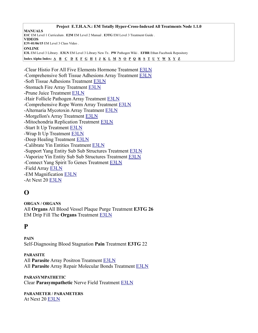-Clear Histio For All Five Elements Hormone Treatment [E3LN](https://energymedicine.online/em3-new-em-level-3-treatments/#clrhis5)  -Comprehensive Soft Tissue Adhesions Array Treatment [E3LN](https://energymedicine.online/em3-new-em-level-3-treatments/#cstaa) -Soft Tissue Adhesions Treatment [E3LN](https://energymedicine.online/em3-new-em-level-3-treatments/#stad) -Stomach Fire Array Treatment [E3LN](https://energymedicine.online/em3-new-em-level-3-treatments/#sfia) -Prune Juice Treatment [E3LN](https://energymedicine.online/em3-new-em-level-3-treatments/#prune) -Hair Follicle Pathogen Array Treatment [E3LN](https://energymedicine.online/em3-new-em-level-3-treatments/#folpa) -Comprehensive Rope Worm Array Treatment [E3LN](https://energymedicine.online/em3-new-em-level-3-treatments/#crwa) -Alternaria Mycotoxin Array Treatment [E3LN](https://energymedicine.online/em3-new-em-level-3-treatments/#amyca) -Morgellon's Array Treatment [E3LN](https://energymedicine.online/em3-new-em-level-3-treatments/#morga) -Mitochondria Replication Treatment [E3LN](https://energymedicine.online/em3-new-em-level-3-treatments/#mitr) -Start It Up Treatment [E3LN](https://energymedicine.online/em3-new-em-level-3-treatments/#start) -Wrap It Up Treatment [E3LN](https://energymedicine.online/em3-new-em-level-3-treatments/#wrap) -Deep Healing Treatment [E3LN](https://energymedicine.online/em3-new-em-level-3-treatments/#deep) -Calibrate Yin Entities Treatment [E3LN](https://energymedicine.online/em3-new-em-level-3-treatments/#calyin) -Support Yang Entity Sub Sub Structures Treatment [E3LN](https://energymedicine.online/em3-new-em-level-3-treatments/#supyangsss) -Vaporize Yin Entity Sub Sub Structures Treatment [E3LN](https://energymedicine.online/em3-new-em-level-3-treatments/#vapyinsss) -Connect Yang Spirit To Genes Treatment [E3LN](https://energymedicine.online/em3-new-em-level-3-treatments/#conyangs2g) -Field Array [E3LN](https://energymedicine.online/em3-new-em-level-3-treatments/#farr) -EM Magnification [E3LN](https://energymedicine.online/em3-new-em-level-3-treatments/#em-mag) -At Next 20 [E3LN](https://energymedicine.online/em3-new-em-level-3-treatments/#at20)

# <span id="page-22-1"></span>**O**

**ORGAN / ORGANS** All **Organs** All Blood Vessel Plaque Purge Treatment **E3TG 26** EM Drip Fill The **Organs** Treatment [E3LN](https://energymedicine.online/em3-new-em-level-3-treatments/#edfo)

# <span id="page-22-0"></span>**P**

**PAIN** Self-Diagnosing Blood Stagnation **Pain** Treatment **E3TG** 22

**PARASITE** All **Parasite** Array Positron Treatment [E3LN](https://energymedicine.online/em3-new-em-level-3-treatments/#apapt) All **Parasite** Array Repair Molecular Bonds Treatment [E3LN](https://energymedicine.online/em3-new-em-level-3-treatments/#aparmb)

**PARASYMPATHETIC** Clear **Parasympathetic** Nerve Field Treatment [E3LN](https://energymedicine.online/em3-new-em-level-3-treatments/#cpnf)

**PARAMETER / PARAMETERS** At Next 20 [E3LN](https://energymedicine.online/em3-new-em-level-3-treatments/#at20)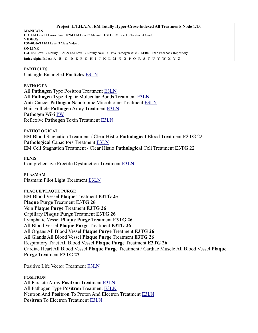#### **Project E.T.H.A.N.: EM Totally Hyper-Cross-Indexed All Treatments Node 1.1.0**

**MANUALS E1C** EM Level 1 Curriculum . **E2M** EM Level 2 Manual . **E3TG** EM Level 3 Treatment Guide . **VIDEOS E3V-01/06/15** EM Level 3 Class Video . **ONLINE E3L** EM Level 3 Library . **E3LN** EM Level 3 Library New Tx . **PW** Pathogen Wiki . **EFBR** Ethan Facebook Repository Index Alpha Index:  $\underline{A}$   $\underline{B}$   $\underline{C}$   $\underline{D}$   $\underline{E}$   $\underline{F}$   $\underline{G}$   $\underline{H}$   $\underline{I}$   $\underline{J}$   $\underline{K}$   $\underline{L}$   $\underline{M}$   $\underline{N}$   $\underline{O}$   $\underline{P}$   $\underline{O}$   $\underline{R}$   $\underline{S}$   $\underline{T}$   $\underline{U}$   $\underline{V}$   $\underline{$ 

#### **PARTICLES**

Untangle Entangled **Particles** [E3LN](https://energymedicine.online/em3-new-em-level-3-treatments/#uep)

#### **PATHOGEN**

All **Pathogen** Type Positron Treatment [E3LN](https://energymedicine.online/em3-new-em-level-3-treatments/#aptpt) All **Pathogen** Type Repair Molecular Bonds Treatment [E3LN](https://energymedicine.online/em3-new-em-level-3-treatments/#aptrmb) Anti-Cancer **Pathogen** Nanobiome Microbiome Treatment [E3LN](https://energymedicine.online/em3-new-em-level-3-treatments/#a-cpnm) Hair Follicle **Pathogen** Array Treatment [E3LN](https://energymedicine.online/em3-new-em-level-3-treatments/#folpa) **Pathogen** Wiki [PW](https://energymedicine.online/gu-chong/please-contribute-to-the/pathogen-wiki/) Reflexive **Pathogen** Toxin Treatment [E3LN](https://energymedicine.online/em3-new-em-level-3-treatments/#rpt)

**PATHOLOGICAL** EM Blood Stagnation Treatment / Clear Histio **Pathological** Blood Treatment **E3TG** 22 **Pathological** Capacitors Treatment [E3LN](https://energymedicine.online/em3-new-em-level-3-treatments/#pc) EM Cell Stagnation Treatment / Clear Histio **Pathological** Cell Treatment **E3TG** 22

#### **PENIS**

Comprehensive Erectile Dysfunction Treatment [E3LN](https://energymedicine.online/em3-new-em-level-3-treatments/#ced)

#### **PLASMAM**

Plasmam Pilot Light Treatment [E3LN](https://energymedicine.online/em3-new-em-level-3-treatments/#ppl)

#### **PLAQUE/PLAQUE PURGE**

EM Blood Vessel **Plaque** Treatment **E3TG 25 Plaque Purge** Treatment **E3TG 26** Vein **Plaque Purge** Treatment **E3TG 26** Capillary **Plaque Purge** Treatment **E3TG 26** Lymphatic Vessel **Plaque Purge** Treatment **E3TG 26** All Blood Vessel **Plaque Purge** Treatment **E3TG 26** All Organs All Blood Vessel **Plaque Purg**e Treatment **E3TG 26** All Glands All Blood Vessel **Plaque Purge** Treatment **E3TG 26** Respiratory Tract All Blood Vessel **Plaque Purge** Treatment **E3TG 26** Cardiac Heart All Blood Vessel **Plaque Purge** Treatment / Cardiac Muscle All Blood Vessel **Plaque Purge** Treatment **E3TG 27**

Positive Life Vector Treatment [E3LN](https://energymedicine.online/em3-new-em-level-3-treatments/#plv)

#### **POSITRON**

All Parasite Array **Positron** Treatment [E3LN](https://energymedicine.online/em3-new-em-level-3-treatments/#apapt) All Pathogen Type **Positron** Treatment [E3LN](https://energymedicine.online/em3-new-em-level-3-treatments/#aptpt) Neutron And **Positron** To Proton And Electron Treatment [E3LN](https://energymedicine.online/em3-new-em-level-3-treatments/#np2pe) **Positron** To Electron Treatment [E3LN](https://energymedicine.online/em3-new-em-level-3-treatments/#p2e)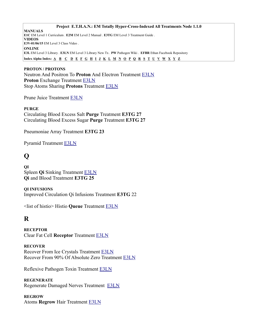#### **Project E.T.H.A.N.: EM Totally Hyper-Cross-Indexed All Treatments Node 1.1.0**

**MANUALS E1C** EM Level 1 Curriculum . **E2M** EM Level 2 Manual . **E3TG** EM Level 3 Treatment Guide . **VIDEOS E3V-01/06/15** EM Level 3 Class Video . **ONLINE E3L** EM Level 3 Library . **E3LN** EM Level 3 Library New Tx . **PW** Pathogen Wiki . **EFBR** Ethan Facebook Repository Index Alpha Index:  $\underline{A}$   $\underline{B}$   $\underline{C}$   $\underline{D}$   $\underline{E}$   $\underline{F}$   $\underline{G}$   $\underline{H}$   $\underline{I}$   $\underline{J}$   $\underline{K}$   $\underline{L}$   $\underline{M}$   $\underline{N}$   $\underline{O}$   $\underline{P}$   $\underline{O}$   $\underline{R}$   $\underline{S}$   $\underline{T}$   $\underline{U}$   $\underline{V}$   $\underline{$ 

# **PROTON / PROTONS** Neutron And Positron To **Proton** And Electron Treatment [E3LN](https://energymedicine.online/em3-new-em-level-3-treatments/#np2pe) **Proton** Exchange Treatment [E3LN](https://energymedicine.online/em3-new-em-level-3-treatments/#pex) Stop Atoms Sharing **Protons** Treatment [E3LN](https://energymedicine.online/em3-new-em-level-3-treatments/#satshp)

Prune Juice Treatment [E3LN](https://energymedicine.online/em3-new-em-level-3-treatments/#prune)

**PURGE**  Circulating Blood Excess Salt **Purge** Treatment **E3TG 27** Circulating Blood Excess Sugar **Purge** Treatment **E3TG 27**

Pneumoniae Array Treatment **E3TG 23**

Pyramid Treatment [E3LN](https://energymedicine.online/em3-new-em-level-3-treatments/#pyrt)

# <span id="page-24-1"></span>**Q**

**QI** Spleen **Qi** Sinking Treatment [E3LN](https://energymedicine.online/em3-new-em-level-3-treatments/#sqs) **Qi** and Blood Treatment **E3TG 25**

**QI INFUSIONS** Improved Circulation Qi Infusions Treatment **E3TG** 22

<list of histio> Histio **Queue** Treatment [E3LN](https://energymedicine.online/em3-new-em-level-3-treatments/#lhisqu)

# <span id="page-24-0"></span>**R**

**RECEPTOR** Clear Fat Cell **Receptor** Treatment [E3LN](https://energymedicine.online/em3-new-em-level-3-treatments/#cfcr)

# **RECOVER**

Recover From Ice Crystals Treatment [E3LN](https://energymedicine.online/em3-new-em-level-3-treatments/#rfic) Recover From 90% Of Absolute Zero Treatment [E3LN](https://energymedicine.online/em3-new-em-level-3-treatments/#r90az)

Reflexive Pathogen Toxin Treatment [E3LN](https://energymedicine.online/em3-new-em-level-3-treatments/#rpt)

**REGENERATE** Regenerate Damaged Nerves Treatment [E3LN](https://energymedicine.online/em3-new-em-level-3-treatments/#rdn)

**REGROW** Atoms **Regrow** Hair Treatment [E3LN](https://energymedicine.online/em3-new-em-level-3-treatments/#arg)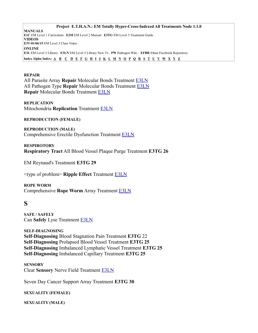**Project E.T.H.A.N.: EM Totally Hyper-Cross-Indexed All Treatments Node 1.1.0 MANUALS E1C** EM Level 1 Curriculum . **E2M** EM Level 2 Manual . **E3TG** EM Level 3 Treatment Guide . **VIDEOS E3V-01/06/15** EM Level 3 Class Video . **ONLINE E3L** EM Level 3 Library . **E3LN** EM Level 3 Library New Tx . **PW** Pathogen Wiki . **EFBR** Ethan Facebook Repository Index Alpha Index: [A](#page-3-0) [B](#page-5-0) [C](#page-6-0) [D](#page-12-0) [E](#page-13-0) [F](#page-14-0) [G](#page-15-0) [H](#page-16-1) [I](#page-16-0) [J](#page-17-3) [K](#page-17-2) [L](#page-17-1) [M](#page-17-0) [N](#page-18-0) [O](#page-22-1) [P](#page-22-0) [Q](#page-24-1) [R](#page-24-0) [S](#page-25-0) [T](#page-28-2) [U](#page-28-1) Y [W](#page-29-2) [X](#page-29-1) [Y](#page-29-0) [Z](#page-30-0)

#### **REPAIR**

All Parasite Array **Repair** Molecular Bonds Treatment [E3LN](https://energymedicine.online/em3-new-em-level-3-treatments/#aparmb) All Pathogen Type **Repair** Molecular Bonds Treatment [E3LN](https://energymedicine.online/em3-new-em-level-3-treatments/#aptrmb) **Repair** Molecular Bonds Treatment [E3LN](https://energymedicine.online/em3-new-em-level-3-treatments/#rmb)

#### **REPLICATION**

Mitochondria **Replication** Treatment [E3LN](https://energymedicine.online/em3-new-em-level-3-treatments/#mitr)

**REPRODUCTION (FEMALE)**

**REPRODUCTION (MALE)** Comprehensive Erectile Dysfunction Treatment [E3LN](https://energymedicine.online/em3-new-em-level-3-treatments/#ced)

**RESPIROTORY Respiratory Tract** All Blood Vessel Plaque Purge Treatment **E3TG 26**

EM Reynaud's Treatment **E3TG 29**

<type of problem> **Ripple Effect** Treatment [E3LN](https://energymedicine.online/em3-new-em-level-3-treatments/#topre)

**ROPE WORM** Comprehensive **Rope Worm** Array Treatment [E3LN](https://energymedicine.online/em3-new-em-level-3-treatments/#crwa)

# <span id="page-25-0"></span>**S**

**SAFE / SAFELY** Can **Safely** Lyse Treatment [E3LN](https://energymedicine.online/em3-new-em-level-3-treatments/#csly)

**SELF-DIAGNOSING Self-Diagnosing** Blood Stagnation Pain Treatment **E3TG** 22 **Self-Diagnosing** Prolapsed Blood Vessel Treatment **E3TG 25 Self-Diagnosing** Imbalanced Lymphatic Vessel Treatment **E3TG 25 Self-Diagnosing** Imbalanced Capillary Treatment **E3TG 25**

**SENSORY** Clear **Sensory** Nerve Field Treatment [E3LN](https://energymedicine.online/em3-new-em-level-3-treatments/#csennf)

Seven Day Cancer Support Array Treatment **E3TG 30**

# **SEXUALITY (FEMALE)**

**SEXUALITY (MALE)**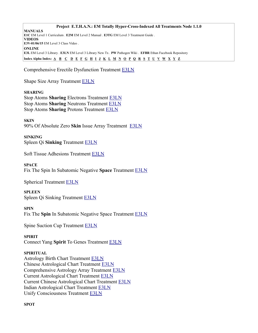Comprehensive Erectile Dysfunction Treatment [E3LN](https://energymedicine.online/em3-new-em-level-3-treatments/#ced)

Shape Size Array Treatment [E3LN](https://energymedicine.online/em3-new-em-level-3-treatments/#ssza)

# **SHARING**

Stop Atoms **Sharing** Electrons Treatment [E3LN](https://energymedicine.online/em3-new-em-level-3-treatments/#satshe) Stop Atoms **Sharing** Neutrons Treatment [E3LN](https://energymedicine.online/em3-new-em-level-3-treatments/#satshn) Stop Atoms **Sharing** Protons Treatment [E3LN](https://energymedicine.online/em3-new-em-level-3-treatments/#satshp)

**SKIN** 90% Of Absolute Zero **Skin** Issue Array Treatment [E3LN](https://energymedicine.online/em3-new-em-level-3-treatments/#90azsia)

**SINKING** Spleen Qi **Sinking** Treatment [E3LN](https://energymedicine.online/em3-new-em-level-3-treatments/#sqs)

Soft Tissue Adhesions Treatment [E3LN](https://energymedicine.online/em3-new-em-level-3-treatments/#stad)

**SPACE** Fix The Spin In Subatomic Negative **Space** Treatment [E3LN](https://energymedicine.online/em3-new-em-level-3-treatments/#fssns)

Spherical Treatment [E3LN](https://energymedicine.online/em3-new-em-level-3-treatments/#sph)

**SPLEEN** Spleen Qi Sinking Treatment [E3LN](https://energymedicine.online/em3-new-em-level-3-treatments/#sqs)

**SPIN** Fix The **Spin** In Subatomic Negative Space Treatment [E3LN](https://energymedicine.online/em3-new-em-level-3-treatments/#fssns)

Spine Suction Cup Treatment [E3LN](https://energymedicine.online/em3-new-em-level-3-treatments/#ssc)

# **SPIRIT**

Connect Yang **Spirit** To Genes Treatment [E3LN](https://energymedicine.online/em3-new-em-level-3-treatments/#conyangs2g)

# **SPIRITUAL**

Astrology Birth Chart Treatment [E3LN](https://energymedicine.online/em3-new-em-level-3-treatments/#abc) Chinese Astrological Chart Treatment [E3LN](https://energymedicine.online/em3-new-em-level-3-treatments/#chac) Comprehensive Astrology Array Treatment [E3LN](https://energymedicine.online/em3-new-em-level-3-treatments/#cmpaa) Current Astrological Chart Treatment [E3LN](https://energymedicine.online/em3-new-em-level-3-treatments/#cac) Current Chinese Astrological Chart Treatment [E3LN](https://energymedicine.online/em3-new-em-level-3-treatments/#cchac) Indian Astrological Chart Treatment [E3LN](https://energymedicine.online/em3-new-em-level-3-treatments/#iac) Unify Consciousness Treatment [E3LN](https://energymedicine.online/em3-new-em-level-3-treatments/#uc)

# **SPOT**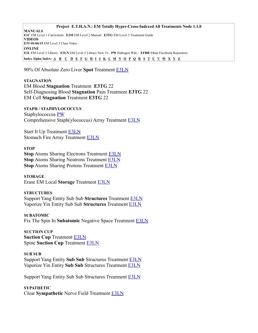90% Of Absolute Zero Liver **Spot** Treatment [E3LN](https://energymedicine.online/em3-new-em-level-3-treatments/#90azls)

# **STAGNATION**

EM Blood **Stagnation** Treatment **E3TG** 22 Self-Diagnosing Blood **Stagnation** Pain Treatment **E3TG** 22 EM Cell **Stagnation** Treatment **E3TG** 22

**STAPH / STAPHYLOCOCCUS** Staphylococcus [PW](https://energymedicine.online/gu-chong/please-contribute-to-the/pathogen-wiki/staphylococcus/) Comprehensive Staph(ylococcus) Array Treatment [E3LN](https://energymedicine.online/em3-new-em-level-3-treatments/#csa)

Start It Up Treatment [E3LN](https://energymedicine.online/em3-new-em-level-3-treatments/#start) Stomach Fire Array Treatment [E3LN](https://energymedicine.online/em3-new-em-level-3-treatments/#sfia)

#### **STOP**

**Stop** Atoms Sharing Electrons Treatment [E3LN](https://energymedicine.online/em3-new-em-level-3-treatments/#satshe) **Stop** Atoms Sharing Neutrons Treatment [E3LN](https://energymedicine.online/em3-new-em-level-3-treatments/#satshn) **Stop** Atoms Sharing Protons Treatment **E3LN** 

**STORAGE** Erase EM Local **Storage** Treatment [E3LN](https://energymedicine.online/em3-new-em-level-3-treatments/#eels)

#### **STRUCTURES**

Support Yang Entity Sub Sub **Structures** Treatment [E3LN](https://energymedicine.online/em3-new-em-level-3-treatments/#supyangsss) Vaporize Yin Entity Sub Sub **Structures** Treatment [E3LN](https://energymedicine.online/em3-new-em-level-3-treatments/#vapyinsss)

**SUBATOMIC** Fix The Spin In **Subatomic** Negative Space Treatment [E3LN](https://energymedicine.online/em3-new-em-level-3-treatments/#fssns)

**SUCTION CUP Suction Cup** Treatment [E3LN](https://energymedicine.online/em3-new-em-level-3-treatments/#scc) Spine **Suction Cup** Treatment [E3LN](https://energymedicine.online/em3-new-em-level-3-treatments/#ssc)

#### **SUB SUB**

Support Yang Entity **Sub Sub** Structures Treatment [E3LN](https://energymedicine.online/em3-new-em-level-3-treatments/#supyangsss) Vaporize Yin Entity **Sub Sub** Structures Treatment [E3LN](https://energymedicine.online/em3-new-em-level-3-treatments/#vapyinsss)

Support Yang Entity Sub Sub Structures Treatment [E3LN](https://energymedicine.online/em3-new-em-level-3-treatments/#supyangsss)

**SYPATHETIC** Clear **Sympathetic** Nerve Field Treatment [E3LN](https://energymedicine.online/em3-new-em-level-3-treatments/#csnf)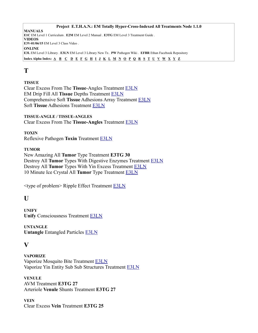# <span id="page-28-2"></span>**T**

# **TISSUE**

Clear Excess From The **Tissue**-Angles Treatment [E3LN](https://energymedicine.online/em3-new-em-level-3-treatments/#cet-a) EM Drip Fill All **Tissue** Depths Treatment [E3LN](https://energymedicine.online/em3-new-em-level-3-treatments/#edfat)  Comprehensive Soft **Tissue** Adhesions Array Treatment [E3LN](https://energymedicine.online/em3-new-em-level-3-treatments/#cstaa) Soft **Tissue** Adhesions Treatment [E3LN](https://energymedicine.online/em3-new-em-level-3-treatments/#stad)

**TISSUE-ANGLE / TISSUE-ANGLES** Clear Excess From The **Tissue-Angles** Treatment [E3LN](https://energymedicine.online/em3-new-em-level-3-treatments/#cet-a)

**TOXIN** Reflexive Pathogen **Toxin** Treatment [E3LN](https://energymedicine.online/em3-new-em-level-3-treatments/#rpt)

# **TUMOR**

New Amazing All **Tumor** Type Treatment **E3TG 30** Destroy All **Tumor** Types With Digestive Enzymes Treatment [E3LN](https://energymedicine.online/em3-new-em-level-3-treatments/#datt) Destroy All **Tumor** Types With Yin Excess Treatment [E3LN](https://energymedicine.online/em3-new-em-level-3-treatments/#dttye) 10 Minute Ice Crystal All **Tumor** Type Treatment [E3LN](https://energymedicine.online/em3-new-em-level-3-treatments/#10mic)

<type of problem> Ripple Effect Treatment [E3LN](https://energymedicine.online/em3-new-em-level-3-treatments/#topre)

# <span id="page-28-1"></span>**U**

**UNIFY Unify** Consciousness Treatment [E3LN](https://energymedicine.online/em3-new-em-level-3-treatments/#uc)

**UNTANGLE Untangle** Entangled Particles [E3LN](https://energymedicine.online/em3-new-em-level-3-treatments/#uep)

# <span id="page-28-0"></span>**V**

**VAPORIZE** Vaporize Mosquito Bite Treatment **E3LN** Vaporize Yin Entity Sub Sub Structures Treatment [E3LN](https://energymedicine.online/em3-new-em-level-3-treatments/#vapyinsss)

**VENULE** AVM Treatment **E3TG 27** Arteriole **Venule** Shunts Treatment **E3TG 27**

**VEIN** Clear Excess **Vein** Treatment **E3TG 25**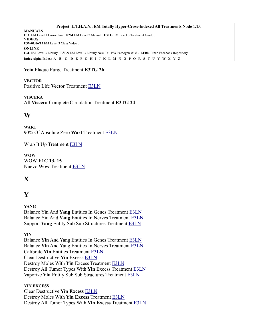**Vein** Plaque Purge Treatment **E3TG 26**

# **VECTOR**

Positive Life **Vector** Treatment [E3LN](https://energymedicine.online/em3-new-em-level-3-treatments/#plv)

# **VISCERA**

All **Viscera** Complete Circulation Treatment **E3TG 24**

# <span id="page-29-2"></span>**W**

**WART** 90% Of Absolute Zero **Wart** Treatment [E3LN](https://energymedicine.online/em3-new-em-level-3-treatments/#90azw)

Wrap It Up Treatment [E3LN](https://energymedicine.online/em3-new-em-level-3-treatments/#wrap)

**WOW** WOW **E1C 13, 15** Nuevo **Wow** Treatment [E3LN](https://energymedicine.online/em3-new-em-level-3-treatments/#nwow)

# <span id="page-29-1"></span>**X**

# <span id="page-29-0"></span>**Y**

**YANG** Balance Yin And **Yang** Entities In Genes Treatment [E3LN](https://energymedicine.online/em3-new-em-level-3-treatments/#baly-ygene) Balance Yin And **Yang** Entities In Nerves Treatment [E3LN](https://energymedicine.online/em3-new-em-level-3-treatments/#baly-ynerv) Support **Yang** Entity Sub Sub Structures Treatment [E3LN](https://energymedicine.online/em3-new-em-level-3-treatments/#supyangsss)

# **YIN**

Balance **Yin** And Yang Entities In Genes Treatment **E3LN** Balance **Yin** And Yang Entities In Nerves Treatment [E3LN](https://energymedicine.online/em3-new-em-level-3-treatments/#baly-ynerv) Calibrate **Yin** Entities Treatment [E3LN](https://energymedicine.online/em3-new-em-level-3-treatments/#calyin) Clear Destructive **Yin** Excess [E3LN](https://energymedicine.online/em3-new-em-level-3-treatments/#cdye) Destroy Moles With **Yin** Excess Treatment [E3LN](https://energymedicine.online/em3-new-em-level-3-treatments/#dmye) Destroy All Tumor Types With **Yin** Excess Treatment [E3LN](https://energymedicine.online/em3-new-em-level-3-treatments/#dttye) Vaporize **Yin** Entity Sub Sub Structures Treatment [E3LN](https://energymedicine.online/em3-new-em-level-3-treatments/#vapyinsss)

# **YIN EXCESS**

Clear Destructive **Yin Excess** [E3LN](https://energymedicine.online/em3-new-em-level-3-treatments/#cdye) Destroy Moles With **Yin Excess** Treatment [E3LN](https://energymedicine.online/em3-new-em-level-3-treatments/#dmye) Destroy All Tumor Types With **Yin Excess** Treatment [E3LN](https://energymedicine.online/em3-new-em-level-3-treatments/#dttye)